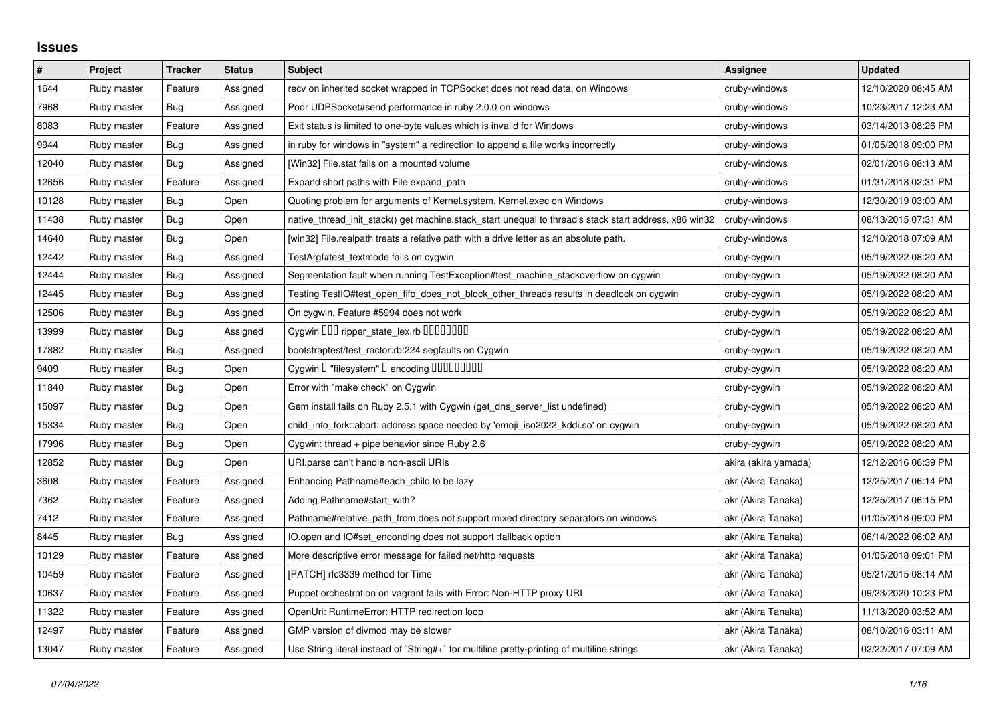## **Issues**

| $\sharp$ | Project     | <b>Tracker</b> | <b>Status</b> | <b>Subject</b>                                                                                        | Assignee             | <b>Updated</b>      |
|----------|-------------|----------------|---------------|-------------------------------------------------------------------------------------------------------|----------------------|---------------------|
| 1644     | Ruby master | Feature        | Assigned      | recv on inherited socket wrapped in TCPSocket does not read data, on Windows                          | cruby-windows        | 12/10/2020 08:45 AM |
| 7968     | Ruby master | Bug            | Assigned      | Poor UDPSocket#send performance in ruby 2.0.0 on windows                                              | cruby-windows        | 10/23/2017 12:23 AM |
| 8083     | Ruby master | Feature        | Assigned      | Exit status is limited to one-byte values which is invalid for Windows                                | cruby-windows        | 03/14/2013 08:26 PM |
| 9944     | Ruby master | Bug            | Assigned      | in ruby for windows in "system" a redirection to append a file works incorrectly                      | cruby-windows        | 01/05/2018 09:00 PM |
| 12040    | Ruby master | Bug            | Assigned      | [Win32] File.stat fails on a mounted volume                                                           | cruby-windows        | 02/01/2016 08:13 AM |
| 12656    | Ruby master | Feature        | Assigned      | Expand short paths with File.expand_path                                                              | cruby-windows        | 01/31/2018 02:31 PM |
| 10128    | Ruby master | Bug            | Open          | Quoting problem for arguments of Kernel.system, Kernel.exec on Windows                                | cruby-windows        | 12/30/2019 03:00 AM |
| 11438    | Ruby master | Bug            | Open          | native_thread_init_stack() get machine.stack_start unequal to thread's stack start address, x86 win32 | cruby-windows        | 08/13/2015 07:31 AM |
| 14640    | Ruby master | <b>Bug</b>     | Open          | [win32] File.realpath treats a relative path with a drive letter as an absolute path.                 | cruby-windows        | 12/10/2018 07:09 AM |
| 12442    | Ruby master | Bug            | Assigned      | TestArgf#test_textmode fails on cygwin                                                                | cruby-cygwin         | 05/19/2022 08:20 AM |
| 12444    | Ruby master | Bug            | Assigned      | Segmentation fault when running TestException#test machine stackoverflow on cygwin                    | cruby-cygwin         | 05/19/2022 08:20 AM |
| 12445    | Ruby master | Bug            | Assigned      | Testing TestIO#test_open_fifo_does_not_block_other_threads results in deadlock on cygwin              | cruby-cygwin         | 05/19/2022 08:20 AM |
| 12506    | Ruby master | <b>Bug</b>     | Assigned      | On cygwin, Feature #5994 does not work                                                                | cruby-cygwin         | 05/19/2022 08:20 AM |
| 13999    | Ruby master | Bug            | Assigned      | Cygwin OOD ripper_state_lex.rb 00000000                                                               | cruby-cygwin         | 05/19/2022 08:20 AM |
| 17882    | Ruby master | <b>Bug</b>     | Assigned      | bootstraptest/test_ractor.rb:224 segfaults on Cygwin                                                  | cruby-cygwin         | 05/19/2022 08:20 AM |
| 9409     | Ruby master | Bug            | Open          | Cygwin I "filesystem" I encoding IIIIIIIIIIII                                                         | cruby-cygwin         | 05/19/2022 08:20 AM |
| 11840    | Ruby master | Bug            | Open          | Error with "make check" on Cygwin                                                                     | cruby-cygwin         | 05/19/2022 08:20 AM |
| 15097    | Ruby master | <b>Bug</b>     | Open          | Gem install fails on Ruby 2.5.1 with Cygwin (get_dns_server_list undefined)                           | cruby-cygwin         | 05/19/2022 08:20 AM |
| 15334    | Ruby master | Bug            | Open          | child_info_fork::abort: address space needed by 'emoji_iso2022_kddi.so' on cygwin                     | cruby-cygwin         | 05/19/2022 08:20 AM |
| 17996    | Ruby master | Bug            | Open          | Cygwin: thread + pipe behavior since Ruby 2.6                                                         | cruby-cygwin         | 05/19/2022 08:20 AM |
| 12852    | Ruby master | <b>Bug</b>     | Open          | URI.parse can't handle non-ascii URIs                                                                 | akira (akira yamada) | 12/12/2016 06:39 PM |
| 3608     | Ruby master | Feature        | Assigned      | Enhancing Pathname#each_child to be lazy                                                              | akr (Akira Tanaka)   | 12/25/2017 06:14 PM |
| 7362     | Ruby master | Feature        | Assigned      | Adding Pathname#start_with?                                                                           | akr (Akira Tanaka)   | 12/25/2017 06:15 PM |
| 7412     | Ruby master | Feature        | Assigned      | Pathname#relative_path_from does not support mixed directory separators on windows                    | akr (Akira Tanaka)   | 01/05/2018 09:00 PM |
| 8445     | Ruby master | <b>Bug</b>     | Assigned      | IO.open and IO#set_enconding does not support :fallback option                                        | akr (Akira Tanaka)   | 06/14/2022 06:02 AM |
| 10129    | Ruby master | Feature        | Assigned      | More descriptive error message for failed net/http requests                                           | akr (Akira Tanaka)   | 01/05/2018 09:01 PM |
| 10459    | Ruby master | Feature        | Assigned      | [PATCH] rfc3339 method for Time                                                                       | akr (Akira Tanaka)   | 05/21/2015 08:14 AM |
| 10637    | Ruby master | Feature        | Assigned      | Puppet orchestration on vagrant fails with Error: Non-HTTP proxy URI                                  | akr (Akira Tanaka)   | 09/23/2020 10:23 PM |
| 11322    | Ruby master | Feature        | Assigned      | OpenUri: RuntimeError: HTTP redirection loop                                                          | akr (Akira Tanaka)   | 11/13/2020 03:52 AM |
| 12497    | Ruby master | Feature        | Assigned      | GMP version of divmod may be slower                                                                   | akr (Akira Tanaka)   | 08/10/2016 03:11 AM |
| 13047    | Ruby master | Feature        | Assigned      | Use String literal instead of `String#+` for multiline pretty-printing of multiline strings           | akr (Akira Tanaka)   | 02/22/2017 07:09 AM |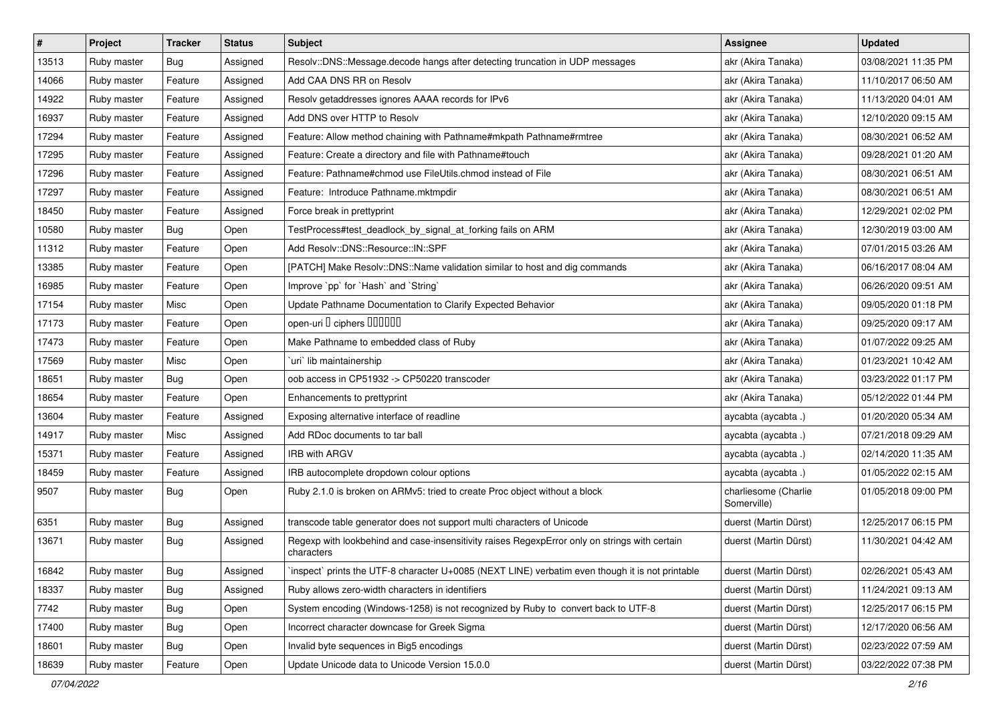| $\vert$ # | Project     | <b>Tracker</b> | <b>Status</b> | <b>Subject</b>                                                                                              | Assignee                            | <b>Updated</b>      |
|-----------|-------------|----------------|---------------|-------------------------------------------------------------------------------------------------------------|-------------------------------------|---------------------|
| 13513     | Ruby master | Bug            | Assigned      | Resolv::DNS::Message.decode hangs after detecting truncation in UDP messages                                | akr (Akira Tanaka)                  | 03/08/2021 11:35 PM |
| 14066     | Ruby master | Feature        | Assigned      | Add CAA DNS RR on Resolv                                                                                    | akr (Akira Tanaka)                  | 11/10/2017 06:50 AM |
| 14922     | Ruby master | Feature        | Assigned      | Resolv getaddresses ignores AAAA records for IPv6                                                           | akr (Akira Tanaka)                  | 11/13/2020 04:01 AM |
| 16937     | Ruby master | Feature        | Assigned      | Add DNS over HTTP to Resolv                                                                                 | akr (Akira Tanaka)                  | 12/10/2020 09:15 AM |
| 17294     | Ruby master | Feature        | Assigned      | Feature: Allow method chaining with Pathname#mkpath Pathname#rmtree                                         | akr (Akira Tanaka)                  | 08/30/2021 06:52 AM |
| 17295     | Ruby master | Feature        | Assigned      | Feature: Create a directory and file with Pathname#touch                                                    | akr (Akira Tanaka)                  | 09/28/2021 01:20 AM |
| 17296     | Ruby master | Feature        | Assigned      | Feature: Pathname#chmod use FileUtils.chmod instead of File                                                 | akr (Akira Tanaka)                  | 08/30/2021 06:51 AM |
| 17297     | Ruby master | Feature        | Assigned      | Feature: Introduce Pathname.mktmpdir                                                                        | akr (Akira Tanaka)                  | 08/30/2021 06:51 AM |
| 18450     | Ruby master | Feature        | Assigned      | Force break in prettyprint                                                                                  | akr (Akira Tanaka)                  | 12/29/2021 02:02 PM |
| 10580     | Ruby master | Bug            | Open          | TestProcess#test_deadlock_by_signal_at_forking fails on ARM                                                 | akr (Akira Tanaka)                  | 12/30/2019 03:00 AM |
| 11312     | Ruby master | Feature        | Open          | Add Resolv::DNS::Resource::IN::SPF                                                                          | akr (Akira Tanaka)                  | 07/01/2015 03:26 AM |
| 13385     | Ruby master | Feature        | Open          | [PATCH] Make Resolv::DNS::Name validation similar to host and dig commands                                  | akr (Akira Tanaka)                  | 06/16/2017 08:04 AM |
| 16985     | Ruby master | Feature        | Open          | Improve `pp` for `Hash` and `String`                                                                        | akr (Akira Tanaka)                  | 06/26/2020 09:51 AM |
| 17154     | Ruby master | Misc           | Open          | Update Pathname Documentation to Clarify Expected Behavior                                                  | akr (Akira Tanaka)                  | 09/05/2020 01:18 PM |
| 17173     | Ruby master | Feature        | Open          | open-uri I ciphers IIIIIII                                                                                  | akr (Akira Tanaka)                  | 09/25/2020 09:17 AM |
| 17473     | Ruby master | Feature        | Open          | Make Pathname to embedded class of Ruby                                                                     | akr (Akira Tanaka)                  | 01/07/2022 09:25 AM |
| 17569     | Ruby master | Misc           | Open          | uri lib maintainership                                                                                      | akr (Akira Tanaka)                  | 01/23/2021 10:42 AM |
| 18651     | Ruby master | Bug            | Open          | oob access in CP51932 -> CP50220 transcoder                                                                 | akr (Akira Tanaka)                  | 03/23/2022 01:17 PM |
| 18654     | Ruby master | Feature        | Open          | Enhancements to prettyprint                                                                                 | akr (Akira Tanaka)                  | 05/12/2022 01:44 PM |
| 13604     | Ruby master | Feature        | Assigned      | Exposing alternative interface of readline                                                                  | aycabta (aycabta.)                  | 01/20/2020 05:34 AM |
| 14917     | Ruby master | Misc           | Assigned      | Add RDoc documents to tar ball                                                                              | aycabta (aycabta.)                  | 07/21/2018 09:29 AM |
| 15371     | Ruby master | Feature        | Assigned      | <b>IRB with ARGV</b>                                                                                        | aycabta (aycabta .)                 | 02/14/2020 11:35 AM |
| 18459     | Ruby master | Feature        | Assigned      | IRB autocomplete dropdown colour options                                                                    | aycabta (aycabta.)                  | 01/05/2022 02:15 AM |
| 9507      | Ruby master | Bug            | Open          | Ruby 2.1.0 is broken on ARMv5: tried to create Proc object without a block                                  | charliesome (Charlie<br>Somerville) | 01/05/2018 09:00 PM |
| 6351      | Ruby master | Bug            | Assigned      | transcode table generator does not support multi characters of Unicode                                      | duerst (Martin Dürst)               | 12/25/2017 06:15 PM |
| 13671     | Ruby master | Bug            | Assigned      | Regexp with lookbehind and case-insensitivity raises RegexpError only on strings with certain<br>characters | duerst (Martin Dürst)               | 11/30/2021 04:42 AM |
| 16842     | Ruby master | Bug            | Assigned      | inspect prints the UTF-8 character U+0085 (NEXT LINE) verbatim even though it is not printable              | duerst (Martin Dürst)               | 02/26/2021 05:43 AM |
| 18337     | Ruby master | Bug            | Assigned      | Ruby allows zero-width characters in identifiers                                                            | duerst (Martin Dürst)               | 11/24/2021 09:13 AM |
| 7742      | Ruby master | Bug            | Open          | System encoding (Windows-1258) is not recognized by Ruby to convert back to UTF-8                           | duerst (Martin Dürst)               | 12/25/2017 06:15 PM |
| 17400     | Ruby master | <b>Bug</b>     | Open          | Incorrect character downcase for Greek Sigma                                                                | duerst (Martin Dürst)               | 12/17/2020 06:56 AM |
| 18601     | Ruby master | <b>Bug</b>     | Open          | Invalid byte sequences in Big5 encodings                                                                    | duerst (Martin Dürst)               | 02/23/2022 07:59 AM |
| 18639     | Ruby master | Feature        | Open          | Update Unicode data to Unicode Version 15.0.0                                                               | duerst (Martin Dürst)               | 03/22/2022 07:38 PM |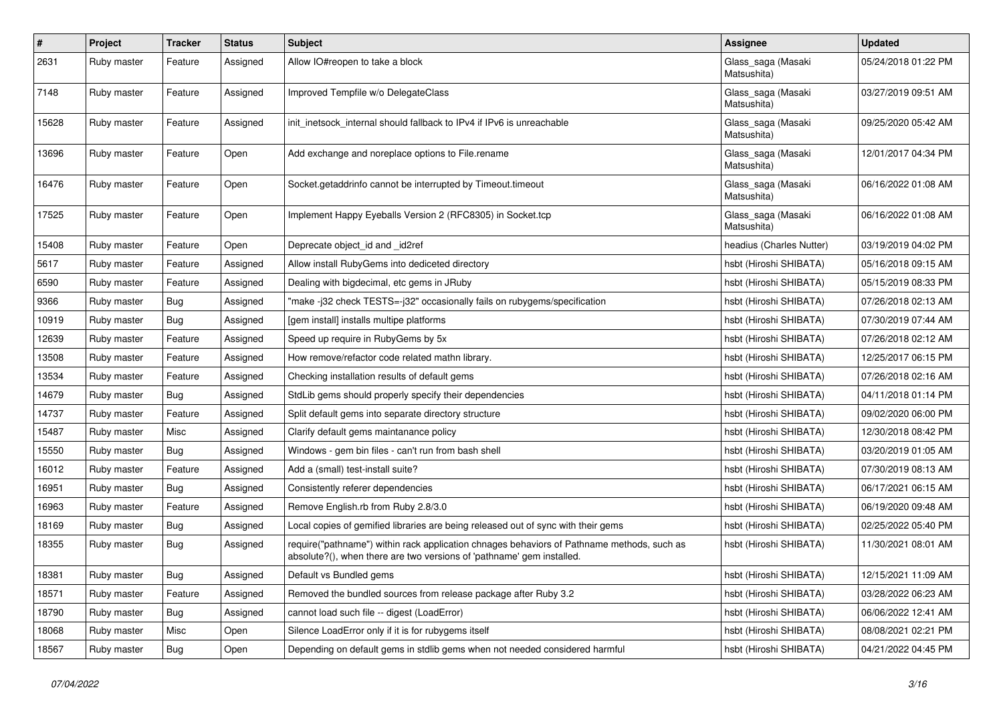| #     | Project     | <b>Tracker</b> | <b>Status</b> | <b>Subject</b>                                                                                                                                                      | <b>Assignee</b>                   | <b>Updated</b>      |
|-------|-------------|----------------|---------------|---------------------------------------------------------------------------------------------------------------------------------------------------------------------|-----------------------------------|---------------------|
| 2631  | Ruby master | Feature        | Assigned      | Allow IO#reopen to take a block                                                                                                                                     | Glass_saga (Masaki<br>Matsushita) | 05/24/2018 01:22 PM |
| 7148  | Ruby master | Feature        | Assigned      | Improved Tempfile w/o DelegateClass                                                                                                                                 | Glass_saga (Masaki<br>Matsushita) | 03/27/2019 09:51 AM |
| 15628 | Ruby master | Feature        | Assigned      | init inetsock internal should fallback to IPv4 if IPv6 is unreachable                                                                                               | Glass_saga (Masaki<br>Matsushita) | 09/25/2020 05:42 AM |
| 13696 | Ruby master | Feature        | Open          | Add exchange and noreplace options to File.rename                                                                                                                   | Glass_saga (Masaki<br>Matsushita) | 12/01/2017 04:34 PM |
| 16476 | Ruby master | Feature        | Open          | Socket.getaddrinfo cannot be interrupted by Timeout.timeout                                                                                                         | Glass_saga (Masaki<br>Matsushita) | 06/16/2022 01:08 AM |
| 17525 | Ruby master | Feature        | Open          | Implement Happy Eyeballs Version 2 (RFC8305) in Socket.tcp                                                                                                          | Glass_saga (Masaki<br>Matsushita) | 06/16/2022 01:08 AM |
| 15408 | Ruby master | Feature        | Open          | Deprecate object_id and _id2ref                                                                                                                                     | headius (Charles Nutter)          | 03/19/2019 04:02 PM |
| 5617  | Ruby master | Feature        | Assigned      | Allow install RubyGems into dediceted directory                                                                                                                     | hsbt (Hiroshi SHIBATA)            | 05/16/2018 09:15 AM |
| 6590  | Ruby master | Feature        | Assigned      | Dealing with bigdecimal, etc gems in JRuby                                                                                                                          | hsbt (Hiroshi SHIBATA)            | 05/15/2019 08:33 PM |
| 9366  | Ruby master | Bug            | Assigned      | "make-j32 check TESTS=-j32" occasionally fails on rubygems/specification                                                                                            | hsbt (Hiroshi SHIBATA)            | 07/26/2018 02:13 AM |
| 10919 | Ruby master | Bug            | Assigned      | [gem install] installs multipe platforms                                                                                                                            | hsbt (Hiroshi SHIBATA)            | 07/30/2019 07:44 AM |
| 12639 | Ruby master | Feature        | Assigned      | Speed up require in RubyGems by 5x                                                                                                                                  | hsbt (Hiroshi SHIBATA)            | 07/26/2018 02:12 AM |
| 13508 | Ruby master | Feature        | Assigned      | How remove/refactor code related mathn library.                                                                                                                     | hsbt (Hiroshi SHIBATA)            | 12/25/2017 06:15 PM |
| 13534 | Ruby master | Feature        | Assigned      | Checking installation results of default gems                                                                                                                       | hsbt (Hiroshi SHIBATA)            | 07/26/2018 02:16 AM |
| 14679 | Ruby master | Bug            | Assigned      | StdLib gems should properly specify their dependencies                                                                                                              | hsbt (Hiroshi SHIBATA)            | 04/11/2018 01:14 PM |
| 14737 | Ruby master | Feature        | Assigned      | Split default gems into separate directory structure                                                                                                                | hsbt (Hiroshi SHIBATA)            | 09/02/2020 06:00 PM |
| 15487 | Ruby master | Misc           | Assigned      | Clarify default gems maintanance policy                                                                                                                             | hsbt (Hiroshi SHIBATA)            | 12/30/2018 08:42 PM |
| 15550 | Ruby master | Bug            | Assigned      | Windows - gem bin files - can't run from bash shell                                                                                                                 | hsbt (Hiroshi SHIBATA)            | 03/20/2019 01:05 AM |
| 16012 | Ruby master | Feature        | Assigned      | Add a (small) test-install suite?                                                                                                                                   | hsbt (Hiroshi SHIBATA)            | 07/30/2019 08:13 AM |
| 16951 | Ruby master | Bug            | Assigned      | Consistently referer dependencies                                                                                                                                   | hsbt (Hiroshi SHIBATA)            | 06/17/2021 06:15 AM |
| 16963 | Ruby master | Feature        | Assigned      | Remove English.rb from Ruby 2.8/3.0                                                                                                                                 | hsbt (Hiroshi SHIBATA)            | 06/19/2020 09:48 AM |
| 18169 | Ruby master | Bug            | Assigned      | Local copies of gemified libraries are being released out of sync with their gems                                                                                   | hsbt (Hiroshi SHIBATA)            | 02/25/2022 05:40 PM |
| 18355 | Ruby master | Bug            | Assigned      | require("pathname") within rack application chnages behaviors of Pathname methods, such as<br>absolute?(), when there are two versions of 'pathname' gem installed. | hsbt (Hiroshi SHIBATA)            | 11/30/2021 08:01 AM |
| 18381 | Ruby master | <b>Bug</b>     | Assigned      | Default vs Bundled gems                                                                                                                                             | hsbt (Hiroshi SHIBATA)            | 12/15/2021 11:09 AM |
| 18571 | Ruby master | Feature        | Assigned      | Removed the bundled sources from release package after Ruby 3.2                                                                                                     | hsbt (Hiroshi SHIBATA)            | 03/28/2022 06:23 AM |
| 18790 | Ruby master | Bug            | Assigned      | cannot load such file -- digest (LoadError)                                                                                                                         | hsbt (Hiroshi SHIBATA)            | 06/06/2022 12:41 AM |
| 18068 | Ruby master | Misc           | Open          | Silence LoadError only if it is for rubygems itself                                                                                                                 | hsbt (Hiroshi SHIBATA)            | 08/08/2021 02:21 PM |
| 18567 | Ruby master | <b>Bug</b>     | Open          | Depending on default gems in stdlib gems when not needed considered harmful                                                                                         | hsbt (Hiroshi SHIBATA)            | 04/21/2022 04:45 PM |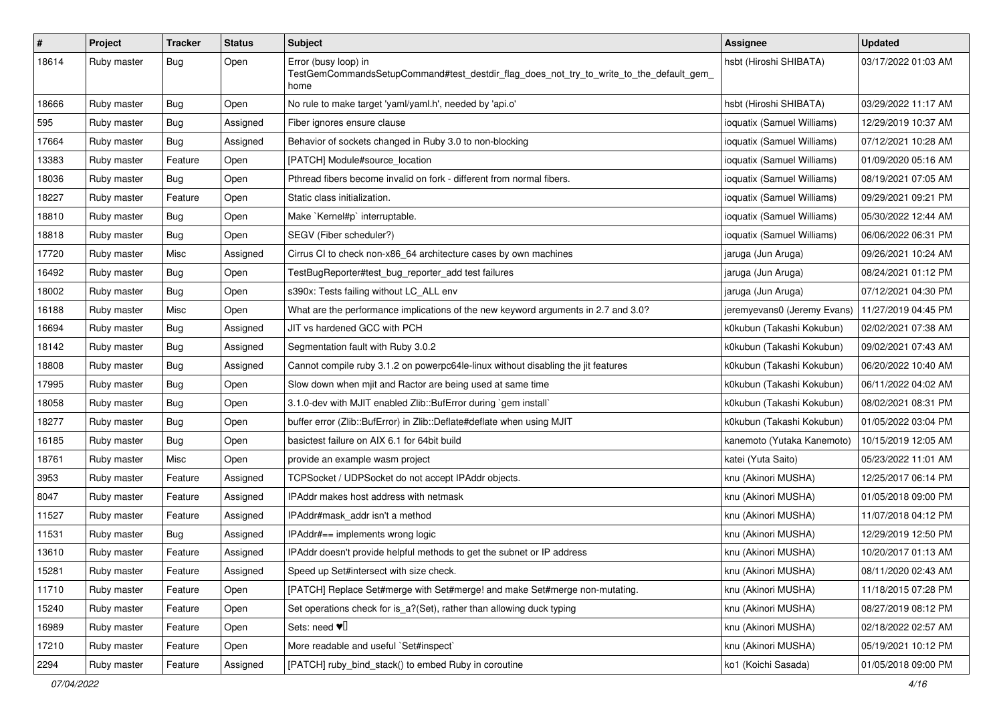| $\sharp$ | Project     | <b>Tracker</b> | <b>Status</b> | <b>Subject</b>                                                                                                          | <b>Assignee</b>             | <b>Updated</b>      |
|----------|-------------|----------------|---------------|-------------------------------------------------------------------------------------------------------------------------|-----------------------------|---------------------|
| 18614    | Ruby master | <b>Bug</b>     | Open          | Error (busy loop) in<br>TestGemCommandsSetupCommand#test_destdir_flag_does_not_try_to_write_to_the_default_gem_<br>home | hsbt (Hiroshi SHIBATA)      | 03/17/2022 01:03 AM |
| 18666    | Ruby master | Bug            | Open          | No rule to make target 'yaml/yaml.h', needed by 'api.o'                                                                 | hsbt (Hiroshi SHIBATA)      | 03/29/2022 11:17 AM |
| 595      | Ruby master | Bug            | Assigned      | Fiber ignores ensure clause                                                                                             | ioquatix (Samuel Williams)  | 12/29/2019 10:37 AM |
| 17664    | Ruby master | <b>Bug</b>     | Assigned      | Behavior of sockets changed in Ruby 3.0 to non-blocking                                                                 | ioquatix (Samuel Williams)  | 07/12/2021 10:28 AM |
| 13383    | Ruby master | Feature        | Open          | [PATCH] Module#source_location                                                                                          | ioquatix (Samuel Williams)  | 01/09/2020 05:16 AM |
| 18036    | Ruby master | Bug            | Open          | Pthread fibers become invalid on fork - different from normal fibers.                                                   | ioquatix (Samuel Williams)  | 08/19/2021 07:05 AM |
| 18227    | Ruby master | Feature        | Open          | Static class initialization.                                                                                            | ioquatix (Samuel Williams)  | 09/29/2021 09:21 PM |
| 18810    | Ruby master | Bug            | Open          | Make `Kernel#p` interruptable.                                                                                          | ioquatix (Samuel Williams)  | 05/30/2022 12:44 AM |
| 18818    | Ruby master | Bug            | Open          | SEGV (Fiber scheduler?)                                                                                                 | ioquatix (Samuel Williams)  | 06/06/2022 06:31 PM |
| 17720    | Ruby master | Misc           | Assigned      | Cirrus CI to check non-x86_64 architecture cases by own machines                                                        | jaruga (Jun Aruga)          | 09/26/2021 10:24 AM |
| 16492    | Ruby master | Bug            | Open          | TestBugReporter#test_bug_reporter_add test failures                                                                     | jaruga (Jun Aruga)          | 08/24/2021 01:12 PM |
| 18002    | Ruby master | Bug            | Open          | s390x: Tests failing without LC ALL env                                                                                 | jaruga (Jun Aruga)          | 07/12/2021 04:30 PM |
| 16188    | Ruby master | Misc           | Open          | What are the performance implications of the new keyword arguments in 2.7 and 3.0?                                      | jeremyevans0 (Jeremy Evans) | 11/27/2019 04:45 PM |
| 16694    | Ruby master | Bug            | Assigned      | JIT vs hardened GCC with PCH                                                                                            | k0kubun (Takashi Kokubun)   | 02/02/2021 07:38 AM |
| 18142    | Ruby master | Bug            | Assigned      | Segmentation fault with Ruby 3.0.2                                                                                      | k0kubun (Takashi Kokubun)   | 09/02/2021 07:43 AM |
| 18808    | Ruby master | Bug            | Assigned      | Cannot compile ruby 3.1.2 on powerpc64le-linux without disabling the jit features                                       | k0kubun (Takashi Kokubun)   | 06/20/2022 10:40 AM |
| 17995    | Ruby master | Bug            | Open          | Slow down when mjit and Ractor are being used at same time                                                              | k0kubun (Takashi Kokubun)   | 06/11/2022 04:02 AM |
| 18058    | Ruby master | Bug            | Open          | 3.1.0-dev with MJIT enabled Zlib::BufError during `gem install`                                                         | k0kubun (Takashi Kokubun)   | 08/02/2021 08:31 PM |
| 18277    | Ruby master | Bug            | Open          | buffer error (Zlib::BufError) in Zlib::Deflate#deflate when using MJIT                                                  | k0kubun (Takashi Kokubun)   | 01/05/2022 03:04 PM |
| 16185    | Ruby master | <b>Bug</b>     | Open          | basictest failure on AIX 6.1 for 64bit build                                                                            | kanemoto (Yutaka Kanemoto)  | 10/15/2019 12:05 AM |
| 18761    | Ruby master | Misc           | Open          | provide an example wasm project                                                                                         | katei (Yuta Saito)          | 05/23/2022 11:01 AM |
| 3953     | Ruby master | Feature        | Assigned      | TCPSocket / UDPSocket do not accept IPAddr objects.                                                                     | knu (Akinori MUSHA)         | 12/25/2017 06:14 PM |
| 8047     | Ruby master | Feature        | Assigned      | IPAddr makes host address with netmask                                                                                  | knu (Akinori MUSHA)         | 01/05/2018 09:00 PM |
| 11527    | Ruby master | Feature        | Assigned      | IPAddr#mask_addr isn't a method                                                                                         | knu (Akinori MUSHA)         | 11/07/2018 04:12 PM |
| 11531    | Ruby master | <b>Bug</b>     | Assigned      | IPAddr#== implements wrong logic                                                                                        | knu (Akinori MUSHA)         | 12/29/2019 12:50 PM |
| 13610    | Ruby master | Feature        | Assigned      | IPAddr doesn't provide helpful methods to get the subnet or IP address                                                  | knu (Akinori MUSHA)         | 10/20/2017 01:13 AM |
| 15281    | Ruby master | Feature        | Assigned      | Speed up Set#intersect with size check.                                                                                 | knu (Akinori MUSHA)         | 08/11/2020 02:43 AM |
| 11710    | Ruby master | Feature        | Open          | [PATCH] Replace Set#merge with Set#merge! and make Set#merge non-mutating.                                              | knu (Akinori MUSHA)         | 11/18/2015 07:28 PM |
| 15240    | Ruby master | Feature        | Open          | Set operations check for is_a?(Set), rather than allowing duck typing                                                   | knu (Akinori MUSHA)         | 08/27/2019 08:12 PM |
| 16989    | Ruby master | Feature        | Open          | Sets: need $\Psi$ <sup><math>\Box</math></sup>                                                                          | knu (Akinori MUSHA)         | 02/18/2022 02:57 AM |
| 17210    | Ruby master | Feature        | Open          | More readable and useful `Set#inspect`                                                                                  | knu (Akinori MUSHA)         | 05/19/2021 10:12 PM |
| 2294     | Ruby master | Feature        | Assigned      | [PATCH] ruby_bind_stack() to embed Ruby in coroutine                                                                    | ko1 (Koichi Sasada)         | 01/05/2018 09:00 PM |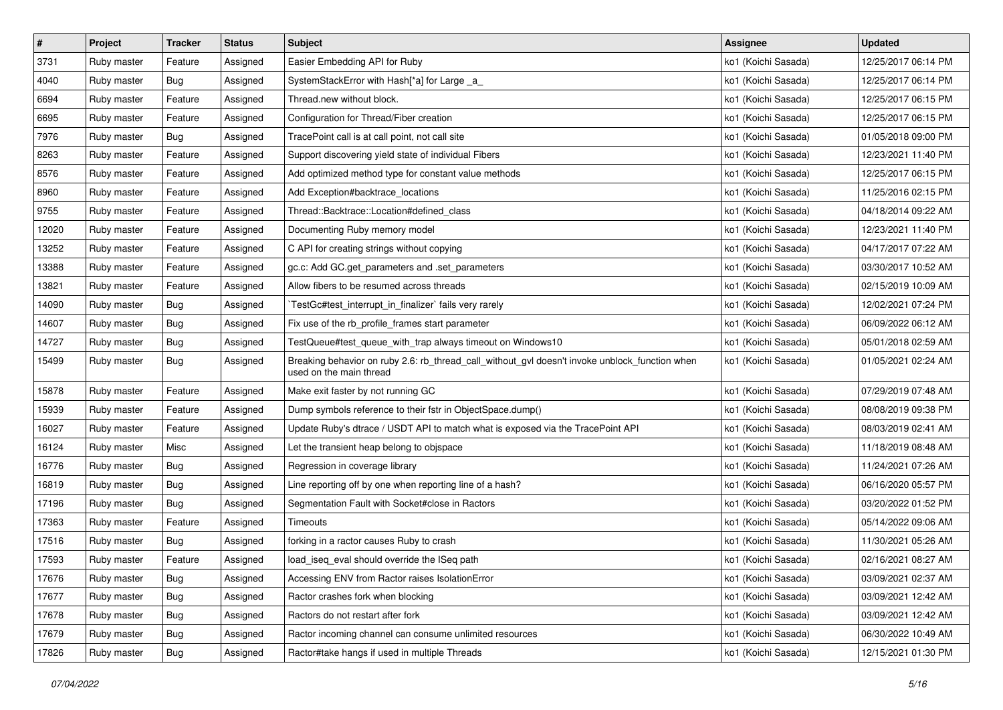| $\pmb{\#}$ | Project     | <b>Tracker</b> | <b>Status</b> | <b>Subject</b>                                                                                                            | <b>Assignee</b>     | <b>Updated</b>      |
|------------|-------------|----------------|---------------|---------------------------------------------------------------------------------------------------------------------------|---------------------|---------------------|
| 3731       | Ruby master | Feature        | Assigned      | Easier Embedding API for Ruby                                                                                             | ko1 (Koichi Sasada) | 12/25/2017 06:14 PM |
| 4040       | Ruby master | Bug            | Assigned      | SystemStackError with Hash[*a] for Large _a_                                                                              | ko1 (Koichi Sasada) | 12/25/2017 06:14 PM |
| 6694       | Ruby master | Feature        | Assigned      | Thread.new without block.                                                                                                 | ko1 (Koichi Sasada) | 12/25/2017 06:15 PM |
| 6695       | Ruby master | Feature        | Assigned      | Configuration for Thread/Fiber creation                                                                                   | ko1 (Koichi Sasada) | 12/25/2017 06:15 PM |
| 7976       | Ruby master | Bug            | Assigned      | TracePoint call is at call point, not call site                                                                           | ko1 (Koichi Sasada) | 01/05/2018 09:00 PM |
| 8263       | Ruby master | Feature        | Assigned      | Support discovering yield state of individual Fibers                                                                      | ko1 (Koichi Sasada) | 12/23/2021 11:40 PM |
| 8576       | Ruby master | Feature        | Assigned      | Add optimized method type for constant value methods                                                                      | ko1 (Koichi Sasada) | 12/25/2017 06:15 PM |
| 8960       | Ruby master | Feature        | Assigned      | Add Exception#backtrace_locations                                                                                         | ko1 (Koichi Sasada) | 11/25/2016 02:15 PM |
| 9755       | Ruby master | Feature        | Assigned      | Thread::Backtrace::Location#defined class                                                                                 | ko1 (Koichi Sasada) | 04/18/2014 09:22 AM |
| 12020      | Ruby master | Feature        | Assigned      | Documenting Ruby memory model                                                                                             | ko1 (Koichi Sasada) | 12/23/2021 11:40 PM |
| 13252      | Ruby master | Feature        | Assigned      | C API for creating strings without copying                                                                                | ko1 (Koichi Sasada) | 04/17/2017 07:22 AM |
| 13388      | Ruby master | Feature        | Assigned      | gc.c: Add GC.get_parameters and .set_parameters                                                                           | ko1 (Koichi Sasada) | 03/30/2017 10:52 AM |
| 13821      | Ruby master | Feature        | Assigned      | Allow fibers to be resumed across threads                                                                                 | ko1 (Koichi Sasada) | 02/15/2019 10:09 AM |
| 14090      | Ruby master | Bug            | Assigned      | TestGc#test_interrupt_in_finalizer` fails very rarely                                                                     | ko1 (Koichi Sasada) | 12/02/2021 07:24 PM |
| 14607      | Ruby master | Bug            | Assigned      | Fix use of the rb_profile_frames start parameter                                                                          | ko1 (Koichi Sasada) | 06/09/2022 06:12 AM |
| 14727      | Ruby master | <b>Bug</b>     | Assigned      | TestQueue#test_queue_with_trap always timeout on Windows10                                                                | ko1 (Koichi Sasada) | 05/01/2018 02:59 AM |
| 15499      | Ruby master | Bug            | Assigned      | Breaking behavior on ruby 2.6: rb_thread_call_without_gvl doesn't invoke unblock_function when<br>used on the main thread | ko1 (Koichi Sasada) | 01/05/2021 02:24 AM |
| 15878      | Ruby master | Feature        | Assigned      | Make exit faster by not running GC                                                                                        | ko1 (Koichi Sasada) | 07/29/2019 07:48 AM |
| 15939      | Ruby master | Feature        | Assigned      | Dump symbols reference to their fstr in ObjectSpace.dump()                                                                | ko1 (Koichi Sasada) | 08/08/2019 09:38 PM |
| 16027      | Ruby master | Feature        | Assigned      | Update Ruby's dtrace / USDT API to match what is exposed via the TracePoint API                                           | ko1 (Koichi Sasada) | 08/03/2019 02:41 AM |
| 16124      | Ruby master | Misc           | Assigned      | Let the transient heap belong to objspace                                                                                 | ko1 (Koichi Sasada) | 11/18/2019 08:48 AM |
| 16776      | Ruby master | Bug            | Assigned      | Regression in coverage library                                                                                            | ko1 (Koichi Sasada) | 11/24/2021 07:26 AM |
| 16819      | Ruby master | Bug            | Assigned      | Line reporting off by one when reporting line of a hash?                                                                  | ko1 (Koichi Sasada) | 06/16/2020 05:57 PM |
| 17196      | Ruby master | Bug            | Assigned      | Segmentation Fault with Socket#close in Ractors                                                                           | ko1 (Koichi Sasada) | 03/20/2022 01:52 PM |
| 17363      | Ruby master | Feature        | Assigned      | Timeouts                                                                                                                  | ko1 (Koichi Sasada) | 05/14/2022 09:06 AM |
| 17516      | Ruby master | <b>Bug</b>     | Assigned      | forking in a ractor causes Ruby to crash                                                                                  | ko1 (Koichi Sasada) | 11/30/2021 05:26 AM |
| 17593      | Ruby master | Feature        | Assigned      | load_iseq_eval should override the ISeq path                                                                              | ko1 (Koichi Sasada) | 02/16/2021 08:27 AM |
| 17676      | Ruby master | <b>Bug</b>     | Assigned      | Accessing ENV from Ractor raises IsolationError                                                                           | ko1 (Koichi Sasada) | 03/09/2021 02:37 AM |
| 17677      | Ruby master | Bug            | Assigned      | Ractor crashes fork when blocking                                                                                         | ko1 (Koichi Sasada) | 03/09/2021 12:42 AM |
| 17678      | Ruby master | <b>Bug</b>     | Assigned      | Ractors do not restart after fork                                                                                         | ko1 (Koichi Sasada) | 03/09/2021 12:42 AM |
| 17679      | Ruby master | Bug            | Assigned      | Ractor incoming channel can consume unlimited resources                                                                   | ko1 (Koichi Sasada) | 06/30/2022 10:49 AM |
| 17826      | Ruby master | <b>Bug</b>     | Assigned      | Ractor#take hangs if used in multiple Threads                                                                             | ko1 (Koichi Sasada) | 12/15/2021 01:30 PM |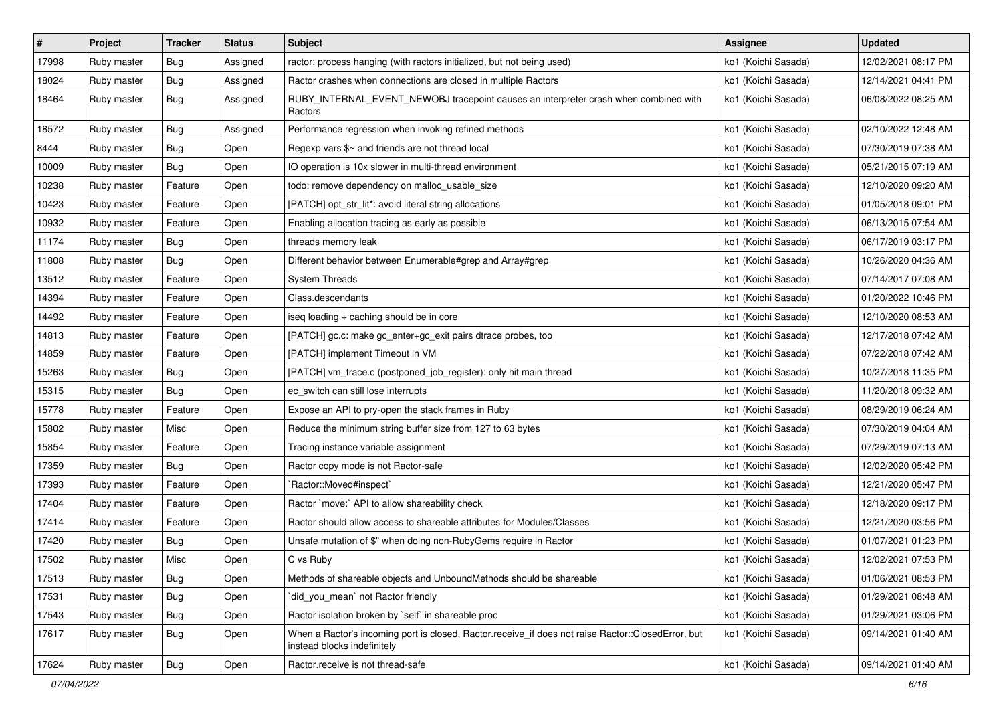| #     | Project     | <b>Tracker</b> | <b>Status</b> | <b>Subject</b>                                                                                                                    | <b>Assignee</b>     | <b>Updated</b>      |
|-------|-------------|----------------|---------------|-----------------------------------------------------------------------------------------------------------------------------------|---------------------|---------------------|
| 17998 | Ruby master | <b>Bug</b>     | Assigned      | ractor: process hanging (with ractors initialized, but not being used)                                                            | ko1 (Koichi Sasada) | 12/02/2021 08:17 PM |
| 18024 | Ruby master | Bug            | Assigned      | Ractor crashes when connections are closed in multiple Ractors                                                                    | ko1 (Koichi Sasada) | 12/14/2021 04:41 PM |
| 18464 | Ruby master | <b>Bug</b>     | Assigned      | RUBY_INTERNAL_EVENT_NEWOBJ tracepoint causes an interpreter crash when combined with<br>Ractors                                   | ko1 (Koichi Sasada) | 06/08/2022 08:25 AM |
| 18572 | Ruby master | Bug            | Assigned      | Performance regression when invoking refined methods                                                                              | ko1 (Koichi Sasada) | 02/10/2022 12:48 AM |
| 8444  | Ruby master | Bug            | Open          | Regexp vars $\frac{6}{5}$ and friends are not thread local                                                                        | ko1 (Koichi Sasada) | 07/30/2019 07:38 AM |
| 10009 | Ruby master | Bug            | Open          | IO operation is 10x slower in multi-thread environment                                                                            | ko1 (Koichi Sasada) | 05/21/2015 07:19 AM |
| 10238 | Ruby master | Feature        | Open          | todo: remove dependency on malloc_usable_size                                                                                     | ko1 (Koichi Sasada) | 12/10/2020 09:20 AM |
| 10423 | Ruby master | Feature        | Open          | [PATCH] opt_str_lit*: avoid literal string allocations                                                                            | ko1 (Koichi Sasada) | 01/05/2018 09:01 PM |
| 10932 | Ruby master | Feature        | Open          | Enabling allocation tracing as early as possible                                                                                  | ko1 (Koichi Sasada) | 06/13/2015 07:54 AM |
| 11174 | Ruby master | Bug            | Open          | threads memory leak                                                                                                               | ko1 (Koichi Sasada) | 06/17/2019 03:17 PM |
| 11808 | Ruby master | Bug            | Open          | Different behavior between Enumerable#grep and Array#grep                                                                         | ko1 (Koichi Sasada) | 10/26/2020 04:36 AM |
| 13512 | Ruby master | Feature        | Open          | <b>System Threads</b>                                                                                                             | ko1 (Koichi Sasada) | 07/14/2017 07:08 AM |
| 14394 | Ruby master | Feature        | Open          | Class.descendants                                                                                                                 | ko1 (Koichi Sasada) | 01/20/2022 10:46 PM |
| 14492 | Ruby master | Feature        | Open          | iseq loading + caching should be in core                                                                                          | ko1 (Koichi Sasada) | 12/10/2020 08:53 AM |
| 14813 | Ruby master | Feature        | Open          | [PATCH] gc.c: make gc_enter+gc_exit pairs dtrace probes, too                                                                      | ko1 (Koichi Sasada) | 12/17/2018 07:42 AM |
| 14859 | Ruby master | Feature        | Open          | [PATCH] implement Timeout in VM                                                                                                   | ko1 (Koichi Sasada) | 07/22/2018 07:42 AM |
| 15263 | Ruby master | Bug            | Open          | [PATCH] vm_trace.c (postponed_job_register): only hit main thread                                                                 | ko1 (Koichi Sasada) | 10/27/2018 11:35 PM |
| 15315 | Ruby master | Bug            | Open          | ec switch can still lose interrupts                                                                                               | ko1 (Koichi Sasada) | 11/20/2018 09:32 AM |
| 15778 | Ruby master | Feature        | Open          | Expose an API to pry-open the stack frames in Ruby                                                                                | ko1 (Koichi Sasada) | 08/29/2019 06:24 AM |
| 15802 | Ruby master | Misc           | Open          | Reduce the minimum string buffer size from 127 to 63 bytes                                                                        | ko1 (Koichi Sasada) | 07/30/2019 04:04 AM |
| 15854 | Ruby master | Feature        | Open          | Tracing instance variable assignment                                                                                              | ko1 (Koichi Sasada) | 07/29/2019 07:13 AM |
| 17359 | Ruby master | Bug            | Open          | Ractor copy mode is not Ractor-safe                                                                                               | ko1 (Koichi Sasada) | 12/02/2020 05:42 PM |
| 17393 | Ruby master | Feature        | Open          | `Ractor::Moved#inspect`                                                                                                           | ko1 (Koichi Sasada) | 12/21/2020 05:47 PM |
| 17404 | Ruby master | Feature        | Open          | Ractor `move:` API to allow shareability check                                                                                    | ko1 (Koichi Sasada) | 12/18/2020 09:17 PM |
| 17414 | Ruby master | Feature        | Open          | Ractor should allow access to shareable attributes for Modules/Classes                                                            | ko1 (Koichi Sasada) | 12/21/2020 03:56 PM |
| 17420 | Ruby master | Bug            | Open          | Unsafe mutation of \$" when doing non-RubyGems require in Ractor                                                                  | ko1 (Koichi Sasada) | 01/07/2021 01:23 PM |
| 17502 | Ruby master | Misc           | Open          | C vs Ruby                                                                                                                         | ko1 (Koichi Sasada) | 12/02/2021 07:53 PM |
| 17513 | Ruby master | <b>Bug</b>     | Open          | Methods of shareable objects and UnboundMethods should be shareable                                                               | ko1 (Koichi Sasada) | 01/06/2021 08:53 PM |
| 17531 | Ruby master | <b>Bug</b>     | Open          | did_you_mean` not Ractor friendly                                                                                                 | ko1 (Koichi Sasada) | 01/29/2021 08:48 AM |
| 17543 | Ruby master | Bug            | Open          | Ractor isolation broken by `self` in shareable proc                                                                               | ko1 (Koichi Sasada) | 01/29/2021 03:06 PM |
| 17617 | Ruby master | <b>Bug</b>     | Open          | When a Ractor's incoming port is closed, Ractor.receive_if does not raise Ractor::ClosedError, but<br>instead blocks indefinitely | ko1 (Koichi Sasada) | 09/14/2021 01:40 AM |
| 17624 | Ruby master | Bug            | Open          | Ractor.receive is not thread-safe                                                                                                 | ko1 (Koichi Sasada) | 09/14/2021 01:40 AM |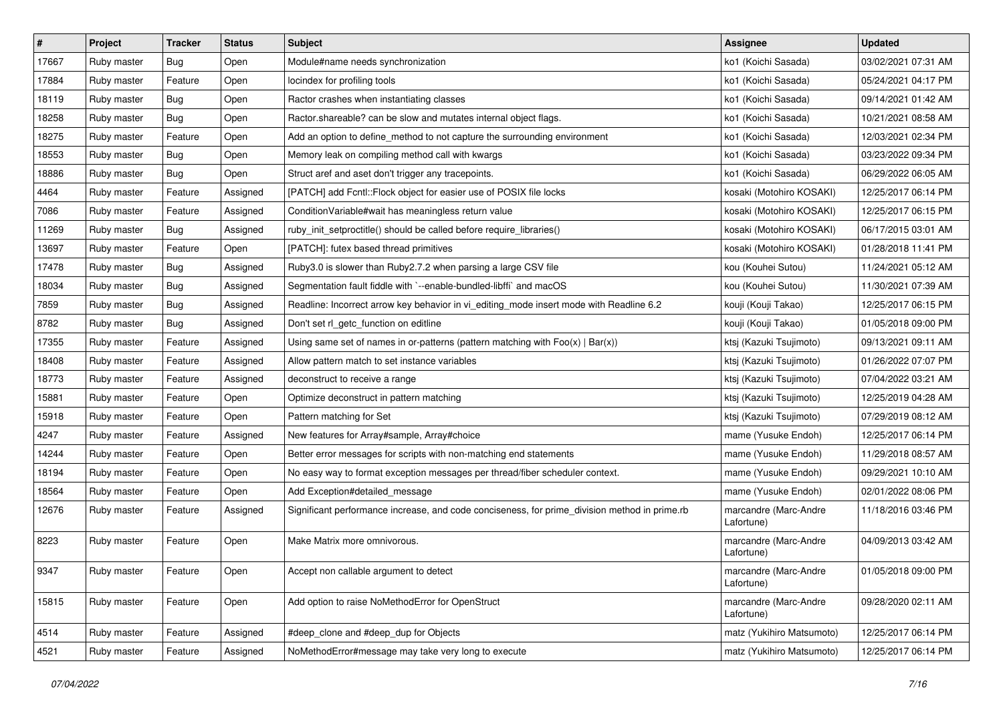| $\vert$ # | Project     | <b>Tracker</b> | <b>Status</b> | <b>Subject</b>                                                                                | <b>Assignee</b>                     | <b>Updated</b>      |
|-----------|-------------|----------------|---------------|-----------------------------------------------------------------------------------------------|-------------------------------------|---------------------|
| 17667     | Ruby master | Bug            | Open          | Module#name needs synchronization                                                             | ko1 (Koichi Sasada)                 | 03/02/2021 07:31 AM |
| 17884     | Ruby master | Feature        | Open          | locindex for profiling tools                                                                  | ko1 (Koichi Sasada)                 | 05/24/2021 04:17 PM |
| 18119     | Ruby master | Bug            | Open          | Ractor crashes when instantiating classes                                                     | ko1 (Koichi Sasada)                 | 09/14/2021 01:42 AM |
| 18258     | Ruby master | Bug            | Open          | Ractor.shareable? can be slow and mutates internal object flags.                              | ko1 (Koichi Sasada)                 | 10/21/2021 08:58 AM |
| 18275     | Ruby master | Feature        | Open          | Add an option to define_method to not capture the surrounding environment                     | ko1 (Koichi Sasada)                 | 12/03/2021 02:34 PM |
| 18553     | Ruby master | Bug            | Open          | Memory leak on compiling method call with kwargs                                              | ko1 (Koichi Sasada)                 | 03/23/2022 09:34 PM |
| 18886     | Ruby master | Bug            | Open          | Struct aref and aset don't trigger any tracepoints.                                           | ko1 (Koichi Sasada)                 | 06/29/2022 06:05 AM |
| 4464      | Ruby master | Feature        | Assigned      | [PATCH] add Fcntl:: Flock object for easier use of POSIX file locks                           | kosaki (Motohiro KOSAKI)            | 12/25/2017 06:14 PM |
| 7086      | Ruby master | Feature        | Assigned      | Condition Variable#wait has meaningless return value                                          | kosaki (Motohiro KOSAKI)            | 12/25/2017 06:15 PM |
| 11269     | Ruby master | Bug            | Assigned      | ruby_init_setproctitle() should be called before require_libraries()                          | kosaki (Motohiro KOSAKI)            | 06/17/2015 03:01 AM |
| 13697     | Ruby master | Feature        | Open          | [PATCH]: futex based thread primitives                                                        | kosaki (Motohiro KOSAKI)            | 01/28/2018 11:41 PM |
| 17478     | Ruby master | Bug            | Assigned      | Ruby3.0 is slower than Ruby2.7.2 when parsing a large CSV file                                | kou (Kouhei Sutou)                  | 11/24/2021 05:12 AM |
| 18034     | Ruby master | Bug            | Assigned      | Segmentation fault fiddle with `--enable-bundled-libffi` and macOS                            | kou (Kouhei Sutou)                  | 11/30/2021 07:39 AM |
| 7859      | Ruby master | Bug            | Assigned      | Readline: Incorrect arrow key behavior in vi_editing_mode insert mode with Readline 6.2       | kouji (Kouji Takao)                 | 12/25/2017 06:15 PM |
| 8782      | Ruby master | Bug            | Assigned      | Don't set rl_getc_function on editline                                                        | kouji (Kouji Takao)                 | 01/05/2018 09:00 PM |
| 17355     | Ruby master | Feature        | Assigned      | Using same set of names in or-patterns (pattern matching with $Foo(x)   Bar(x)$ )             | ktsj (Kazuki Tsujimoto)             | 09/13/2021 09:11 AM |
| 18408     | Ruby master | Feature        | Assigned      | Allow pattern match to set instance variables                                                 | ktsj (Kazuki Tsujimoto)             | 01/26/2022 07:07 PM |
| 18773     | Ruby master | Feature        | Assigned      | deconstruct to receive a range                                                                | ktsj (Kazuki Tsujimoto)             | 07/04/2022 03:21 AM |
| 15881     | Ruby master | Feature        | Open          | Optimize deconstruct in pattern matching                                                      | ktsj (Kazuki Tsujimoto)             | 12/25/2019 04:28 AM |
| 15918     | Ruby master | Feature        | Open          | Pattern matching for Set                                                                      | ktsj (Kazuki Tsujimoto)             | 07/29/2019 08:12 AM |
| 4247      | Ruby master | Feature        | Assigned      | New features for Array#sample, Array#choice                                                   | mame (Yusuke Endoh)                 | 12/25/2017 06:14 PM |
| 14244     | Ruby master | Feature        | Open          | Better error messages for scripts with non-matching end statements                            | mame (Yusuke Endoh)                 | 11/29/2018 08:57 AM |
| 18194     | Ruby master | Feature        | Open          | No easy way to format exception messages per thread/fiber scheduler context.                  | mame (Yusuke Endoh)                 | 09/29/2021 10:10 AM |
| 18564     | Ruby master | Feature        | Open          | Add Exception#detailed_message                                                                | mame (Yusuke Endoh)                 | 02/01/2022 08:06 PM |
| 12676     | Ruby master | Feature        | Assigned      | Significant performance increase, and code conciseness, for prime_division method in prime.rb | marcandre (Marc-Andre<br>Lafortune) | 11/18/2016 03:46 PM |
| 8223      | Ruby master | Feature        | Open          | Make Matrix more omnivorous.                                                                  | marcandre (Marc-Andre<br>Lafortune) | 04/09/2013 03:42 AM |
| 9347      | Ruby master | Feature        | Open          | Accept non callable argument to detect                                                        | marcandre (Marc-Andre<br>Lafortune) | 01/05/2018 09:00 PM |
| 15815     | Ruby master | Feature        | Open          | Add option to raise NoMethodError for OpenStruct                                              | marcandre (Marc-Andre<br>Lafortune) | 09/28/2020 02:11 AM |
| 4514      | Ruby master | Feature        | Assigned      | #deep_clone and #deep_dup for Objects                                                         | matz (Yukihiro Matsumoto)           | 12/25/2017 06:14 PM |
| 4521      | Ruby master | Feature        | Assigned      | NoMethodError#message may take very long to execute                                           | matz (Yukihiro Matsumoto)           | 12/25/2017 06:14 PM |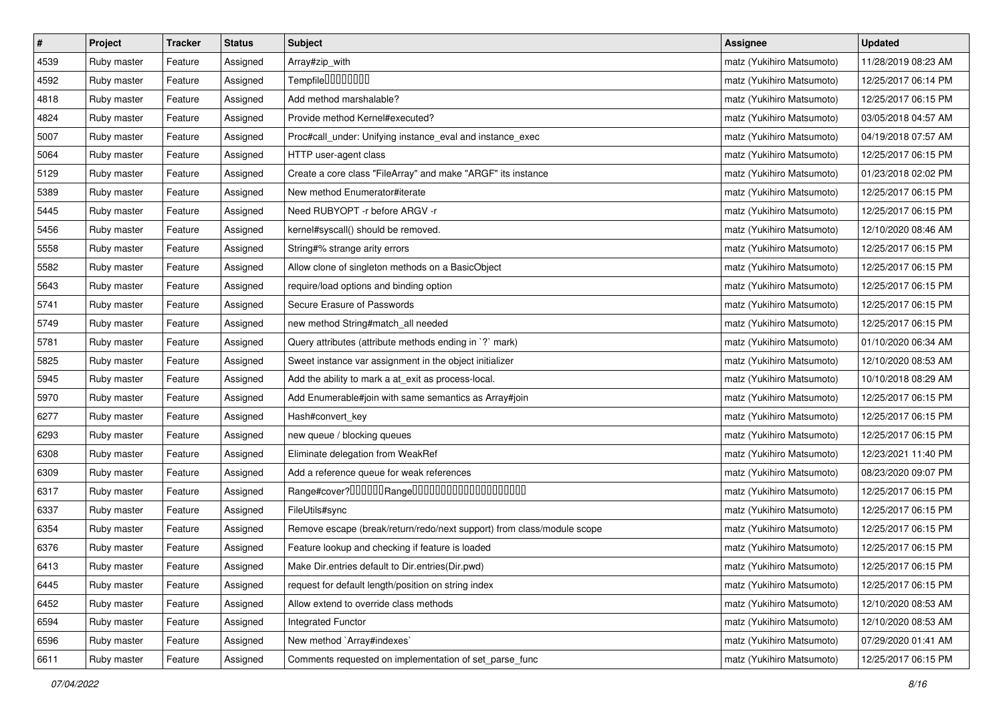| $\pmb{\#}$ | Project     | <b>Tracker</b> | <b>Status</b> | Subject                                                                | <b>Assignee</b>           | <b>Updated</b>      |
|------------|-------------|----------------|---------------|------------------------------------------------------------------------|---------------------------|---------------------|
| 4539       | Ruby master | Feature        | Assigned      | Array#zip_with                                                         | matz (Yukihiro Matsumoto) | 11/28/2019 08:23 AM |
| 4592       | Ruby master | Feature        | Assigned      | Tempfile0000000                                                        | matz (Yukihiro Matsumoto) | 12/25/2017 06:14 PM |
| 4818       | Ruby master | Feature        | Assigned      | Add method marshalable?                                                | matz (Yukihiro Matsumoto) | 12/25/2017 06:15 PM |
| 4824       | Ruby master | Feature        | Assigned      | Provide method Kernel#executed?                                        | matz (Yukihiro Matsumoto) | 03/05/2018 04:57 AM |
| 5007       | Ruby master | Feature        | Assigned      | Proc#call_under: Unifying instance_eval and instance_exec              | matz (Yukihiro Matsumoto) | 04/19/2018 07:57 AM |
| 5064       | Ruby master | Feature        | Assigned      | HTTP user-agent class                                                  | matz (Yukihiro Matsumoto) | 12/25/2017 06:15 PM |
| 5129       | Ruby master | Feature        | Assigned      | Create a core class "FileArray" and make "ARGF" its instance           | matz (Yukihiro Matsumoto) | 01/23/2018 02:02 PM |
| 5389       | Ruby master | Feature        | Assigned      | New method Enumerator#iterate                                          | matz (Yukihiro Matsumoto) | 12/25/2017 06:15 PM |
| 5445       | Ruby master | Feature        | Assigned      | Need RUBYOPT - r before ARGV - r                                       | matz (Yukihiro Matsumoto) | 12/25/2017 06:15 PM |
| 5456       | Ruby master | Feature        | Assigned      | kernel#syscall() should be removed.                                    | matz (Yukihiro Matsumoto) | 12/10/2020 08:46 AM |
| 5558       | Ruby master | Feature        | Assigned      | String#% strange arity errors                                          | matz (Yukihiro Matsumoto) | 12/25/2017 06:15 PM |
| 5582       | Ruby master | Feature        | Assigned      | Allow clone of singleton methods on a BasicObject                      | matz (Yukihiro Matsumoto) | 12/25/2017 06:15 PM |
| 5643       | Ruby master | Feature        | Assigned      | require/load options and binding option                                | matz (Yukihiro Matsumoto) | 12/25/2017 06:15 PM |
| 5741       | Ruby master | Feature        | Assigned      | Secure Erasure of Passwords                                            | matz (Yukihiro Matsumoto) | 12/25/2017 06:15 PM |
| 5749       | Ruby master | Feature        | Assigned      | new method String#match_all needed                                     | matz (Yukihiro Matsumoto) | 12/25/2017 06:15 PM |
| 5781       | Ruby master | Feature        | Assigned      | Query attributes (attribute methods ending in `?` mark)                | matz (Yukihiro Matsumoto) | 01/10/2020 06:34 AM |
| 5825       | Ruby master | Feature        | Assigned      | Sweet instance var assignment in the object initializer                | matz (Yukihiro Matsumoto) | 12/10/2020 08:53 AM |
| 5945       | Ruby master | Feature        | Assigned      | Add the ability to mark a at_exit as process-local.                    | matz (Yukihiro Matsumoto) | 10/10/2018 08:29 AM |
| 5970       | Ruby master | Feature        | Assigned      | Add Enumerable#join with same semantics as Array#join                  | matz (Yukihiro Matsumoto) | 12/25/2017 06:15 PM |
| 6277       | Ruby master | Feature        | Assigned      | Hash#convert_key                                                       | matz (Yukihiro Matsumoto) | 12/25/2017 06:15 PM |
| 6293       | Ruby master | Feature        | Assigned      | new queue / blocking queues                                            | matz (Yukihiro Matsumoto) | 12/25/2017 06:15 PM |
| 6308       | Ruby master | Feature        | Assigned      | Eliminate delegation from WeakRef                                      | matz (Yukihiro Matsumoto) | 12/23/2021 11:40 PM |
| 6309       | Ruby master | Feature        | Assigned      | Add a reference queue for weak references                              | matz (Yukihiro Matsumoto) | 08/23/2020 09:07 PM |
| 6317       | Ruby master | Feature        | Assigned      | Range#cover?000000Range00000000000000000000                            | matz (Yukihiro Matsumoto) | 12/25/2017 06:15 PM |
| 6337       | Ruby master | Feature        | Assigned      | FileUtils#sync                                                         | matz (Yukihiro Matsumoto) | 12/25/2017 06:15 PM |
| 6354       | Ruby master | Feature        | Assigned      | Remove escape (break/return/redo/next support) from class/module scope | matz (Yukihiro Matsumoto) | 12/25/2017 06:15 PM |
| 6376       | Ruby master | Feature        | Assigned      | Feature lookup and checking if feature is loaded                       | matz (Yukihiro Matsumoto) | 12/25/2017 06:15 PM |
| 6413       | Ruby master | Feature        | Assigned      | Make Dir.entries default to Dir.entries(Dir.pwd)                       | matz (Yukihiro Matsumoto) | 12/25/2017 06:15 PM |
| 6445       | Ruby master | Feature        | Assigned      | request for default length/position on string index                    | matz (Yukihiro Matsumoto) | 12/25/2017 06:15 PM |
| 6452       | Ruby master | Feature        | Assigned      | Allow extend to override class methods                                 | matz (Yukihiro Matsumoto) | 12/10/2020 08:53 AM |
| 6594       | Ruby master | Feature        | Assigned      | Integrated Functor                                                     | matz (Yukihiro Matsumoto) | 12/10/2020 08:53 AM |
| 6596       | Ruby master | Feature        | Assigned      | New method `Array#indexes`                                             | matz (Yukihiro Matsumoto) | 07/29/2020 01:41 AM |
| 6611       | Ruby master | Feature        | Assigned      | Comments requested on implementation of set_parse_func                 | matz (Yukihiro Matsumoto) | 12/25/2017 06:15 PM |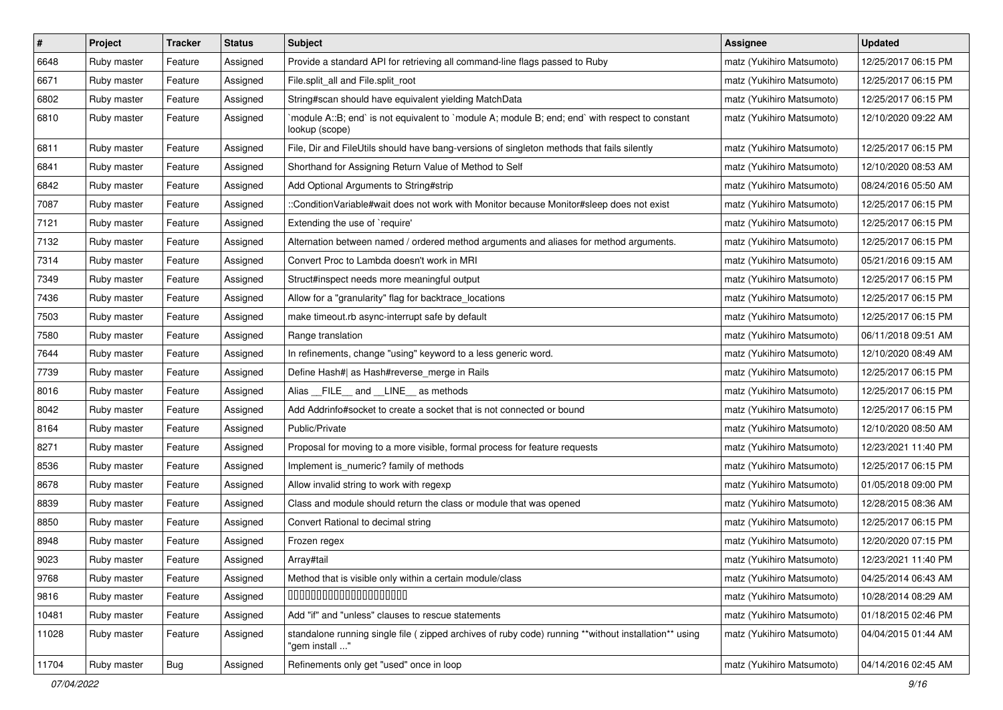| $\pmb{\#}$ | Project     | <b>Tracker</b> | <b>Status</b> | <b>Subject</b>                                                                                                          | <b>Assignee</b>           | <b>Updated</b>      |
|------------|-------------|----------------|---------------|-------------------------------------------------------------------------------------------------------------------------|---------------------------|---------------------|
| 6648       | Ruby master | Feature        | Assigned      | Provide a standard API for retrieving all command-line flags passed to Ruby                                             | matz (Yukihiro Matsumoto) | 12/25/2017 06:15 PM |
| 6671       | Ruby master | Feature        | Assigned      | File.split_all and File.split_root                                                                                      | matz (Yukihiro Matsumoto) | 12/25/2017 06:15 PM |
| 6802       | Ruby master | Feature        | Assigned      | String#scan should have equivalent yielding MatchData                                                                   | matz (Yukihiro Matsumoto) | 12/25/2017 06:15 PM |
| 6810       | Ruby master | Feature        | Assigned      | module A::B; end` is not equivalent to `module A; module B; end; end` with respect to constant<br>lookup (scope)        | matz (Yukihiro Matsumoto) | 12/10/2020 09:22 AM |
| 6811       | Ruby master | Feature        | Assigned      | File, Dir and FileUtils should have bang-versions of singleton methods that fails silently                              | matz (Yukihiro Matsumoto) | 12/25/2017 06:15 PM |
| 6841       | Ruby master | Feature        | Assigned      | Shorthand for Assigning Return Value of Method to Self                                                                  | matz (Yukihiro Matsumoto) | 12/10/2020 08:53 AM |
| 6842       | Ruby master | Feature        | Assigned      | Add Optional Arguments to String#strip                                                                                  | matz (Yukihiro Matsumoto) | 08/24/2016 05:50 AM |
| 7087       | Ruby master | Feature        | Assigned      | ::ConditionVariable#wait does not work with Monitor because Monitor#sleep does not exist                                | matz (Yukihiro Matsumoto) | 12/25/2017 06:15 PM |
| 7121       | Ruby master | Feature        | Assigned      | Extending the use of `require'                                                                                          | matz (Yukihiro Matsumoto) | 12/25/2017 06:15 PM |
| 7132       | Ruby master | Feature        | Assigned      | Alternation between named / ordered method arguments and aliases for method arguments.                                  | matz (Yukihiro Matsumoto) | 12/25/2017 06:15 PM |
| 7314       | Ruby master | Feature        | Assigned      | Convert Proc to Lambda doesn't work in MRI                                                                              | matz (Yukihiro Matsumoto) | 05/21/2016 09:15 AM |
| 7349       | Ruby master | Feature        | Assigned      | Struct#inspect needs more meaningful output                                                                             | matz (Yukihiro Matsumoto) | 12/25/2017 06:15 PM |
| 7436       | Ruby master | Feature        | Assigned      | Allow for a "granularity" flag for backtrace_locations                                                                  | matz (Yukihiro Matsumoto) | 12/25/2017 06:15 PM |
| 7503       | Ruby master | Feature        | Assigned      | make timeout.rb async-interrupt safe by default                                                                         | matz (Yukihiro Matsumoto) | 12/25/2017 06:15 PM |
| 7580       | Ruby master | Feature        | Assigned      | Range translation                                                                                                       | matz (Yukihiro Matsumoto) | 06/11/2018 09:51 AM |
| 7644       | Ruby master | Feature        | Assigned      | In refinements, change "using" keyword to a less generic word.                                                          | matz (Yukihiro Matsumoto) | 12/10/2020 08:49 AM |
| 7739       | Ruby master | Feature        | Assigned      | Define Hash#  as Hash#reverse_merge in Rails                                                                            | matz (Yukihiro Matsumoto) | 12/25/2017 06:15 PM |
| 8016       | Ruby master | Feature        | Assigned      | Alias FILE and LINE as methods                                                                                          | matz (Yukihiro Matsumoto) | 12/25/2017 06:15 PM |
| 8042       | Ruby master | Feature        | Assigned      | Add Addrinfo#socket to create a socket that is not connected or bound                                                   | matz (Yukihiro Matsumoto) | 12/25/2017 06:15 PM |
| 8164       | Ruby master | Feature        | Assigned      | Public/Private                                                                                                          | matz (Yukihiro Matsumoto) | 12/10/2020 08:50 AM |
| 8271       | Ruby master | Feature        | Assigned      | Proposal for moving to a more visible, formal process for feature requests                                              | matz (Yukihiro Matsumoto) | 12/23/2021 11:40 PM |
| 8536       | Ruby master | Feature        | Assigned      | Implement is_numeric? family of methods                                                                                 | matz (Yukihiro Matsumoto) | 12/25/2017 06:15 PM |
| 8678       | Ruby master | Feature        | Assigned      | Allow invalid string to work with regexp                                                                                | matz (Yukihiro Matsumoto) | 01/05/2018 09:00 PM |
| 8839       | Ruby master | Feature        | Assigned      | Class and module should return the class or module that was opened                                                      | matz (Yukihiro Matsumoto) | 12/28/2015 08:36 AM |
| 8850       | Ruby master | Feature        | Assigned      | Convert Rational to decimal string                                                                                      | matz (Yukihiro Matsumoto) | 12/25/2017 06:15 PM |
| 8948       | Ruby master | Feature        | Assigned      | Frozen regex                                                                                                            | matz (Yukihiro Matsumoto) | 12/20/2020 07:15 PM |
| 9023       | Ruby master | Feature        | Assigned      | Array#tail                                                                                                              | matz (Yukihiro Matsumoto) | 12/23/2021 11:40 PM |
| 9768       | Ruby master | Feature        | Assigned      | Method that is visible only within a certain module/class                                                               | matz (Yukihiro Matsumoto) | 04/25/2014 06:43 AM |
| 9816       | Ruby master | Feature        | Assigned      | 00000000000000000000                                                                                                    | matz (Yukihiro Matsumoto) | 10/28/2014 08:29 AM |
| 10481      | Ruby master | Feature        | Assigned      | Add "if" and "unless" clauses to rescue statements                                                                      | matz (Yukihiro Matsumoto) | 01/18/2015 02:46 PM |
| 11028      | Ruby master | Feature        | Assigned      | standalone running single file ( zipped archives of ruby code) running **without installation** using<br>"gem install " | matz (Yukihiro Matsumoto) | 04/04/2015 01:44 AM |
| 11704      | Ruby master | <b>Bug</b>     | Assigned      | Refinements only get "used" once in loop                                                                                | matz (Yukihiro Matsumoto) | 04/14/2016 02:45 AM |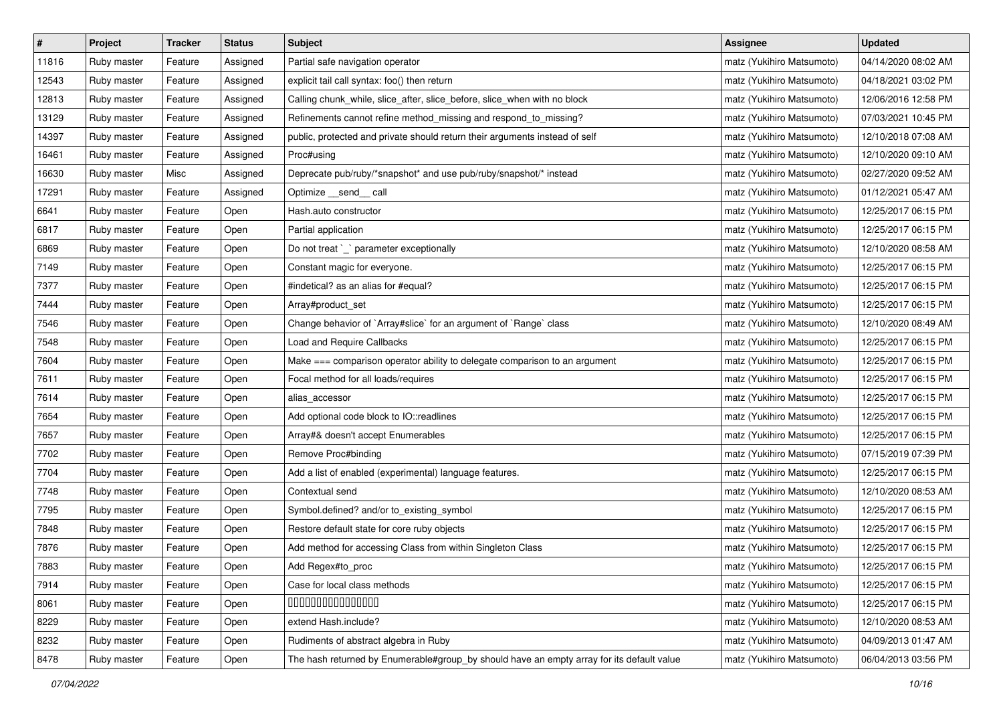| $\sharp$ | Project     | Tracker | <b>Status</b> | <b>Subject</b>                                                                            | <b>Assignee</b>           | <b>Updated</b>      |
|----------|-------------|---------|---------------|-------------------------------------------------------------------------------------------|---------------------------|---------------------|
| 11816    | Ruby master | Feature | Assigned      | Partial safe navigation operator                                                          | matz (Yukihiro Matsumoto) | 04/14/2020 08:02 AM |
| 12543    | Ruby master | Feature | Assigned      | explicit tail call syntax: foo() then return                                              | matz (Yukihiro Matsumoto) | 04/18/2021 03:02 PM |
| 12813    | Ruby master | Feature | Assigned      | Calling chunk_while, slice_after, slice_before, slice_when with no block                  | matz (Yukihiro Matsumoto) | 12/06/2016 12:58 PM |
| 13129    | Ruby master | Feature | Assigned      | Refinements cannot refine method_missing and respond_to_missing?                          | matz (Yukihiro Matsumoto) | 07/03/2021 10:45 PM |
| 14397    | Ruby master | Feature | Assigned      | public, protected and private should return their arguments instead of self               | matz (Yukihiro Matsumoto) | 12/10/2018 07:08 AM |
| 16461    | Ruby master | Feature | Assigned      | Proc#using                                                                                | matz (Yukihiro Matsumoto) | 12/10/2020 09:10 AM |
| 16630    | Ruby master | Misc    | Assigned      | Deprecate pub/ruby/*snapshot* and use pub/ruby/snapshot/* instead                         | matz (Yukihiro Matsumoto) | 02/27/2020 09:52 AM |
| 17291    | Ruby master | Feature | Assigned      | Optimize __send__ call                                                                    | matz (Yukihiro Matsumoto) | 01/12/2021 05:47 AM |
| 6641     | Ruby master | Feature | Open          | Hash.auto constructor                                                                     | matz (Yukihiro Matsumoto) | 12/25/2017 06:15 PM |
| 6817     | Ruby master | Feature | Open          | Partial application                                                                       | matz (Yukihiro Matsumoto) | 12/25/2017 06:15 PM |
| 6869     | Ruby master | Feature | Open          | Do not treat `_` parameter exceptionally                                                  | matz (Yukihiro Matsumoto) | 12/10/2020 08:58 AM |
| 7149     | Ruby master | Feature | Open          | Constant magic for everyone.                                                              | matz (Yukihiro Matsumoto) | 12/25/2017 06:15 PM |
| 7377     | Ruby master | Feature | Open          | #indetical? as an alias for #equal?                                                       | matz (Yukihiro Matsumoto) | 12/25/2017 06:15 PM |
| 7444     | Ruby master | Feature | Open          | Array#product_set                                                                         | matz (Yukihiro Matsumoto) | 12/25/2017 06:15 PM |
| 7546     | Ruby master | Feature | Open          | Change behavior of `Array#slice` for an argument of `Range` class                         | matz (Yukihiro Matsumoto) | 12/10/2020 08:49 AM |
| 7548     | Ruby master | Feature | Open          | Load and Require Callbacks                                                                | matz (Yukihiro Matsumoto) | 12/25/2017 06:15 PM |
| 7604     | Ruby master | Feature | Open          | Make === comparison operator ability to delegate comparison to an argument                | matz (Yukihiro Matsumoto) | 12/25/2017 06:15 PM |
| 7611     | Ruby master | Feature | Open          | Focal method for all loads/requires                                                       | matz (Yukihiro Matsumoto) | 12/25/2017 06:15 PM |
| 7614     | Ruby master | Feature | Open          | alias_accessor                                                                            | matz (Yukihiro Matsumoto) | 12/25/2017 06:15 PM |
| 7654     | Ruby master | Feature | Open          | Add optional code block to IO::readlines                                                  | matz (Yukihiro Matsumoto) | 12/25/2017 06:15 PM |
| 7657     | Ruby master | Feature | Open          | Array#& doesn't accept Enumerables                                                        | matz (Yukihiro Matsumoto) | 12/25/2017 06:15 PM |
| 7702     | Ruby master | Feature | Open          | Remove Proc#binding                                                                       | matz (Yukihiro Matsumoto) | 07/15/2019 07:39 PM |
| 7704     | Ruby master | Feature | Open          | Add a list of enabled (experimental) language features.                                   | matz (Yukihiro Matsumoto) | 12/25/2017 06:15 PM |
| 7748     | Ruby master | Feature | Open          | Contextual send                                                                           | matz (Yukihiro Matsumoto) | 12/10/2020 08:53 AM |
| 7795     | Ruby master | Feature | Open          | Symbol.defined? and/or to_existing_symbol                                                 | matz (Yukihiro Matsumoto) | 12/25/2017 06:15 PM |
| 7848     | Ruby master | Feature | Open          | Restore default state for core ruby objects                                               | matz (Yukihiro Matsumoto) | 12/25/2017 06:15 PM |
| 7876     | Ruby master | Feature | Open          | Add method for accessing Class from within Singleton Class                                | matz (Yukihiro Matsumoto) | 12/25/2017 06:15 PM |
| 7883     | Ruby master | Feature | Open          | Add Regex#to_proc                                                                         | matz (Yukihiro Matsumoto) | 12/25/2017 06:15 PM |
| 7914     | Ruby master | Feature | Open          | Case for local class methods                                                              | matz (Yukihiro Matsumoto) | 12/25/2017 06:15 PM |
| 8061     | Ruby master | Feature | Open          | 000000000000000                                                                           | matz (Yukihiro Matsumoto) | 12/25/2017 06:15 PM |
| 8229     | Ruby master | Feature | Open          | extend Hash.include?                                                                      | matz (Yukihiro Matsumoto) | 12/10/2020 08:53 AM |
| 8232     | Ruby master | Feature | Open          | Rudiments of abstract algebra in Ruby                                                     | matz (Yukihiro Matsumoto) | 04/09/2013 01:47 AM |
| 8478     | Ruby master | Feature | Open          | The hash returned by Enumerable#group_by should have an empty array for its default value | matz (Yukihiro Matsumoto) | 06/04/2013 03:56 PM |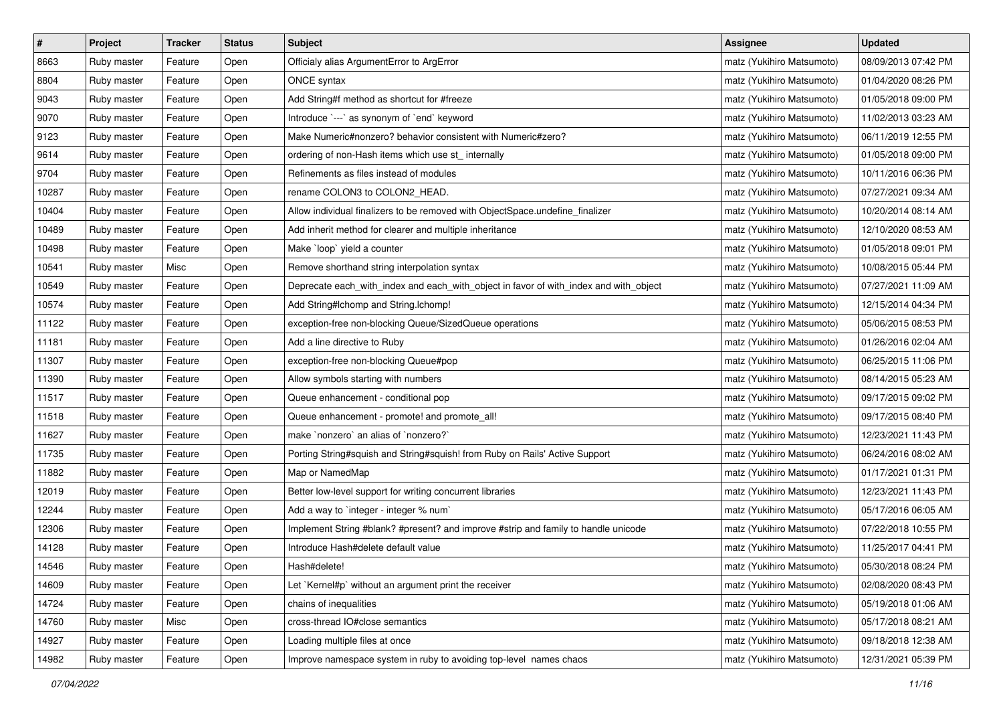| $\pmb{\#}$ | Project     | <b>Tracker</b> | <b>Status</b> | <b>Subject</b>                                                                        | <b>Assignee</b>           | <b>Updated</b>      |
|------------|-------------|----------------|---------------|---------------------------------------------------------------------------------------|---------------------------|---------------------|
| 8663       | Ruby master | Feature        | Open          | Officialy alias ArgumentError to ArgError                                             | matz (Yukihiro Matsumoto) | 08/09/2013 07:42 PM |
| 8804       | Ruby master | Feature        | Open          | ONCE syntax                                                                           | matz (Yukihiro Matsumoto) | 01/04/2020 08:26 PM |
| 9043       | Ruby master | Feature        | Open          | Add String#f method as shortcut for #freeze                                           | matz (Yukihiro Matsumoto) | 01/05/2018 09:00 PM |
| 9070       | Ruby master | Feature        | Open          | Introduce `---` as synonym of `end` keyword                                           | matz (Yukihiro Matsumoto) | 11/02/2013 03:23 AM |
| 9123       | Ruby master | Feature        | Open          | Make Numeric#nonzero? behavior consistent with Numeric#zero?                          | matz (Yukihiro Matsumoto) | 06/11/2019 12:55 PM |
| 9614       | Ruby master | Feature        | Open          | ordering of non-Hash items which use st_ internally                                   | matz (Yukihiro Matsumoto) | 01/05/2018 09:00 PM |
| 9704       | Ruby master | Feature        | Open          | Refinements as files instead of modules                                               | matz (Yukihiro Matsumoto) | 10/11/2016 06:36 PM |
| 10287      | Ruby master | Feature        | Open          | rename COLON3 to COLON2_HEAD.                                                         | matz (Yukihiro Matsumoto) | 07/27/2021 09:34 AM |
| 10404      | Ruby master | Feature        | Open          | Allow individual finalizers to be removed with ObjectSpace.undefine_finalizer         | matz (Yukihiro Matsumoto) | 10/20/2014 08:14 AM |
| 10489      | Ruby master | Feature        | Open          | Add inherit method for clearer and multiple inheritance                               | matz (Yukihiro Matsumoto) | 12/10/2020 08:53 AM |
| 10498      | Ruby master | Feature        | Open          | Make `loop` yield a counter                                                           | matz (Yukihiro Matsumoto) | 01/05/2018 09:01 PM |
| 10541      | Ruby master | Misc           | Open          | Remove shorthand string interpolation syntax                                          | matz (Yukihiro Matsumoto) | 10/08/2015 05:44 PM |
| 10549      | Ruby master | Feature        | Open          | Deprecate each_with_index and each_with_object in favor of with_index and with_object | matz (Yukihiro Matsumoto) | 07/27/2021 11:09 AM |
| 10574      | Ruby master | Feature        | Open          | Add String#Ichomp and String.Ichomp!                                                  | matz (Yukihiro Matsumoto) | 12/15/2014 04:34 PM |
| 11122      | Ruby master | Feature        | Open          | exception-free non-blocking Queue/SizedQueue operations                               | matz (Yukihiro Matsumoto) | 05/06/2015 08:53 PM |
| 11181      | Ruby master | Feature        | Open          | Add a line directive to Ruby                                                          | matz (Yukihiro Matsumoto) | 01/26/2016 02:04 AM |
| 11307      | Ruby master | Feature        | Open          | exception-free non-blocking Queue#pop                                                 | matz (Yukihiro Matsumoto) | 06/25/2015 11:06 PM |
| 11390      | Ruby master | Feature        | Open          | Allow symbols starting with numbers                                                   | matz (Yukihiro Matsumoto) | 08/14/2015 05:23 AM |
| 11517      | Ruby master | Feature        | Open          | Queue enhancement - conditional pop                                                   | matz (Yukihiro Matsumoto) | 09/17/2015 09:02 PM |
| 11518      | Ruby master | Feature        | Open          | Queue enhancement - promote! and promote_all!                                         | matz (Yukihiro Matsumoto) | 09/17/2015 08:40 PM |
| 11627      | Ruby master | Feature        | Open          | make `nonzero` an alias of `nonzero?`                                                 | matz (Yukihiro Matsumoto) | 12/23/2021 11:43 PM |
| 11735      | Ruby master | Feature        | Open          | Porting String#squish and String#squish! from Ruby on Rails' Active Support           | matz (Yukihiro Matsumoto) | 06/24/2016 08:02 AM |
| 11882      | Ruby master | Feature        | Open          | Map or NamedMap                                                                       | matz (Yukihiro Matsumoto) | 01/17/2021 01:31 PM |
| 12019      | Ruby master | Feature        | Open          | Better low-level support for writing concurrent libraries                             | matz (Yukihiro Matsumoto) | 12/23/2021 11:43 PM |
| 12244      | Ruby master | Feature        | Open          | Add a way to 'integer - integer % num'                                                | matz (Yukihiro Matsumoto) | 05/17/2016 06:05 AM |
| 12306      | Ruby master | Feature        | Open          | Implement String #blank? #present? and improve #strip and family to handle unicode    | matz (Yukihiro Matsumoto) | 07/22/2018 10:55 PM |
| 14128      | Ruby master | Feature        | Open          | Introduce Hash#delete default value                                                   | matz (Yukihiro Matsumoto) | 11/25/2017 04:41 PM |
| 14546      | Ruby master | Feature        | Open          | Hash#delete!                                                                          | matz (Yukihiro Matsumoto) | 05/30/2018 08:24 PM |
| 14609      | Ruby master | Feature        | Open          | Let `Kernel#p` without an argument print the receiver                                 | matz (Yukihiro Matsumoto) | 02/08/2020 08:43 PM |
| 14724      | Ruby master | Feature        | Open          | chains of inequalities                                                                | matz (Yukihiro Matsumoto) | 05/19/2018 01:06 AM |
| 14760      | Ruby master | Misc           | Open          | cross-thread IO#close semantics                                                       | matz (Yukihiro Matsumoto) | 05/17/2018 08:21 AM |
| 14927      | Ruby master | Feature        | Open          | Loading multiple files at once                                                        | matz (Yukihiro Matsumoto) | 09/18/2018 12:38 AM |
| 14982      | Ruby master | Feature        | Open          | Improve namespace system in ruby to avoiding top-level names chaos                    | matz (Yukihiro Matsumoto) | 12/31/2021 05:39 PM |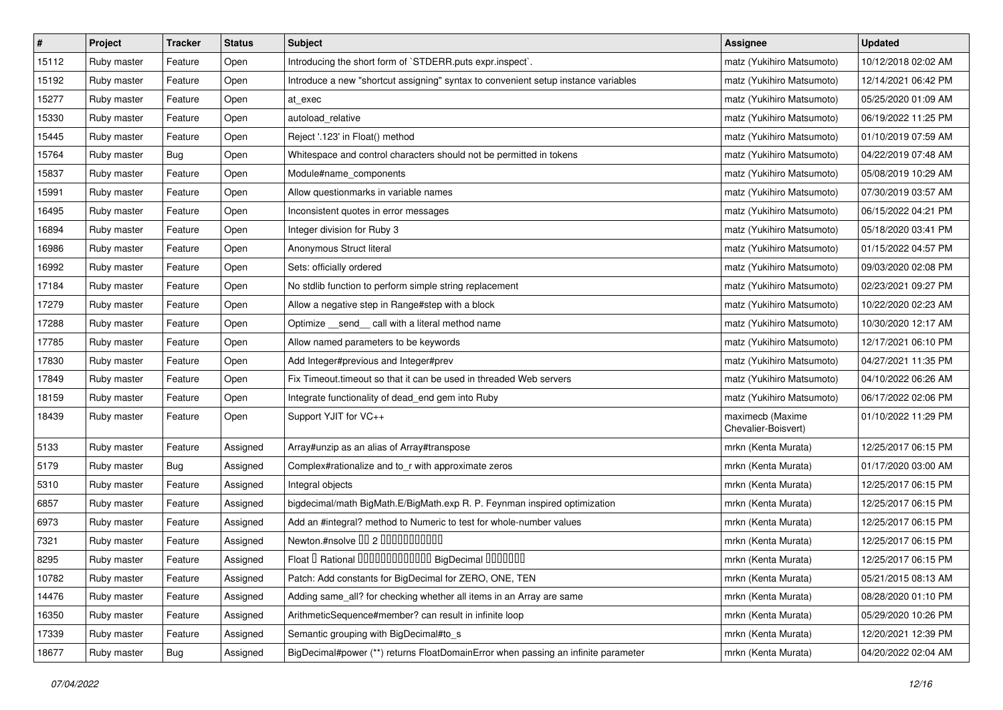| $\vert$ # | Project     | Tracker    | <b>Status</b> | <b>Subject</b>                                                                     | <b>Assignee</b>                         | <b>Updated</b>      |
|-----------|-------------|------------|---------------|------------------------------------------------------------------------------------|-----------------------------------------|---------------------|
| 15112     | Ruby master | Feature    | Open          | Introducing the short form of `STDERR.puts expr.inspect`.                          | matz (Yukihiro Matsumoto)               | 10/12/2018 02:02 AM |
| 15192     | Ruby master | Feature    | Open          | Introduce a new "shortcut assigning" syntax to convenient setup instance variables | matz (Yukihiro Matsumoto)               | 12/14/2021 06:42 PM |
| 15277     | Ruby master | Feature    | Open          | at exec                                                                            | matz (Yukihiro Matsumoto)               | 05/25/2020 01:09 AM |
| 15330     | Ruby master | Feature    | Open          | autoload_relative                                                                  | matz (Yukihiro Matsumoto)               | 06/19/2022 11:25 PM |
| 15445     | Ruby master | Feature    | Open          | Reject '.123' in Float() method                                                    | matz (Yukihiro Matsumoto)               | 01/10/2019 07:59 AM |
| 15764     | Ruby master | Bug        | Open          | Whitespace and control characters should not be permitted in tokens                | matz (Yukihiro Matsumoto)               | 04/22/2019 07:48 AM |
| 15837     | Ruby master | Feature    | Open          | Module#name_components                                                             | matz (Yukihiro Matsumoto)               | 05/08/2019 10:29 AM |
| 15991     | Ruby master | Feature    | Open          | Allow questionmarks in variable names                                              | matz (Yukihiro Matsumoto)               | 07/30/2019 03:57 AM |
| 16495     | Ruby master | Feature    | Open          | Inconsistent quotes in error messages                                              | matz (Yukihiro Matsumoto)               | 06/15/2022 04:21 PM |
| 16894     | Ruby master | Feature    | Open          | Integer division for Ruby 3                                                        | matz (Yukihiro Matsumoto)               | 05/18/2020 03:41 PM |
| 16986     | Ruby master | Feature    | Open          | Anonymous Struct literal                                                           | matz (Yukihiro Matsumoto)               | 01/15/2022 04:57 PM |
| 16992     | Ruby master | Feature    | Open          | Sets: officially ordered                                                           | matz (Yukihiro Matsumoto)               | 09/03/2020 02:08 PM |
| 17184     | Ruby master | Feature    | Open          | No stdlib function to perform simple string replacement                            | matz (Yukihiro Matsumoto)               | 02/23/2021 09:27 PM |
| 17279     | Ruby master | Feature    | Open          | Allow a negative step in Range#step with a block                                   | matz (Yukihiro Matsumoto)               | 10/22/2020 02:23 AM |
| 17288     | Ruby master | Feature    | Open          | Optimize _send_ call with a literal method name                                    | matz (Yukihiro Matsumoto)               | 10/30/2020 12:17 AM |
| 17785     | Ruby master | Feature    | Open          | Allow named parameters to be keywords                                              | matz (Yukihiro Matsumoto)               | 12/17/2021 06:10 PM |
| 17830     | Ruby master | Feature    | Open          | Add Integer#previous and Integer#prev                                              | matz (Yukihiro Matsumoto)               | 04/27/2021 11:35 PM |
| 17849     | Ruby master | Feature    | Open          | Fix Timeout.timeout so that it can be used in threaded Web servers                 | matz (Yukihiro Matsumoto)               | 04/10/2022 06:26 AM |
| 18159     | Ruby master | Feature    | Open          | Integrate functionality of dead_end gem into Ruby                                  | matz (Yukihiro Matsumoto)               | 06/17/2022 02:06 PM |
| 18439     | Ruby master | Feature    | Open          | Support YJIT for VC++                                                              | maximecb (Maxime<br>Chevalier-Boisvert) | 01/10/2022 11:29 PM |
| 5133      | Ruby master | Feature    | Assigned      | Array#unzip as an alias of Array#transpose                                         | mrkn (Kenta Murata)                     | 12/25/2017 06:15 PM |
| 5179      | Ruby master | Bug        | Assigned      | Complex#rationalize and to_r with approximate zeros                                | mrkn (Kenta Murata)                     | 01/17/2020 03:00 AM |
| 5310      | Ruby master | Feature    | Assigned      | Integral objects                                                                   | mrkn (Kenta Murata)                     | 12/25/2017 06:15 PM |
| 6857      | Ruby master | Feature    | Assigned      | bigdecimal/math BigMath.E/BigMath.exp R. P. Feynman inspired optimization          | mrkn (Kenta Murata)                     | 12/25/2017 06:15 PM |
| 6973      | Ruby master | Feature    | Assigned      | Add an #integral? method to Numeric to test for whole-number values                | mrkn (Kenta Murata)                     | 12/25/2017 06:15 PM |
| 7321      | Ruby master | Feature    | Assigned      | Newton.#nsolve 00 2 0000000000                                                     | mrkn (Kenta Murata)                     | 12/25/2017 06:15 PM |
| 8295      | Ruby master | Feature    | Assigned      | Float I Rational IIIIIIIIIIIIIIIIIII BigDecimal IIIIIIIIII                         | mrkn (Kenta Murata)                     | 12/25/2017 06:15 PM |
| 10782     | Ruby master | Feature    | Assigned      | Patch: Add constants for BigDecimal for ZERO, ONE, TEN                             | mrkn (Kenta Murata)                     | 05/21/2015 08:13 AM |
| 14476     | Ruby master | Feature    | Assigned      | Adding same_all? for checking whether all items in an Array are same               | mrkn (Kenta Murata)                     | 08/28/2020 01:10 PM |
| 16350     | Ruby master | Feature    | Assigned      | ArithmeticSequence#member? can result in infinite loop                             | mrkn (Kenta Murata)                     | 05/29/2020 10:26 PM |
| 17339     | Ruby master | Feature    | Assigned      | Semantic grouping with BigDecimal#to_s                                             | mrkn (Kenta Murata)                     | 12/20/2021 12:39 PM |
| 18677     | Ruby master | <b>Bug</b> | Assigned      | BigDecimal#power (**) returns FloatDomainError when passing an infinite parameter  | mrkn (Kenta Murata)                     | 04/20/2022 02:04 AM |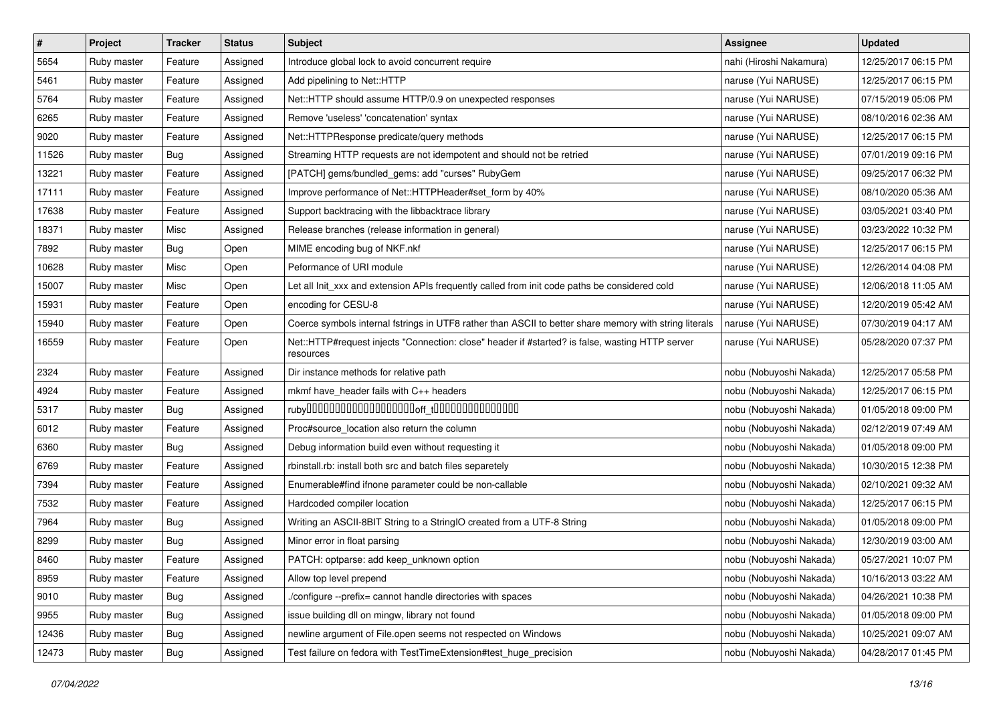| $\pmb{\#}$ | Project     | <b>Tracker</b> | <b>Status</b> | Subject                                                                                                      | <b>Assignee</b>         | <b>Updated</b>      |
|------------|-------------|----------------|---------------|--------------------------------------------------------------------------------------------------------------|-------------------------|---------------------|
| 5654       | Ruby master | Feature        | Assigned      | Introduce global lock to avoid concurrent require                                                            | nahi (Hiroshi Nakamura) | 12/25/2017 06:15 PM |
| 5461       | Ruby master | Feature        | Assigned      | Add pipelining to Net::HTTP                                                                                  | naruse (Yui NARUSE)     | 12/25/2017 06:15 PM |
| 5764       | Ruby master | Feature        | Assigned      | Net::HTTP should assume HTTP/0.9 on unexpected responses                                                     | naruse (Yui NARUSE)     | 07/15/2019 05:06 PM |
| 6265       | Ruby master | Feature        | Assigned      | Remove 'useless' 'concatenation' syntax                                                                      | naruse (Yui NARUSE)     | 08/10/2016 02:36 AM |
| 9020       | Ruby master | Feature        | Assigned      | Net::HTTPResponse predicate/query methods                                                                    | naruse (Yui NARUSE)     | 12/25/2017 06:15 PM |
| 11526      | Ruby master | Bug            | Assigned      | Streaming HTTP requests are not idempotent and should not be retried                                         | naruse (Yui NARUSE)     | 07/01/2019 09:16 PM |
| 13221      | Ruby master | Feature        | Assigned      | [PATCH] gems/bundled_gems: add "curses" RubyGem                                                              | naruse (Yui NARUSE)     | 09/25/2017 06:32 PM |
| 17111      | Ruby master | Feature        | Assigned      | Improve performance of Net::HTTPHeader#set_form by 40%                                                       | naruse (Yui NARUSE)     | 08/10/2020 05:36 AM |
| 17638      | Ruby master | Feature        | Assigned      | Support backtracing with the libbacktrace library                                                            | naruse (Yui NARUSE)     | 03/05/2021 03:40 PM |
| 18371      | Ruby master | Misc           | Assigned      | Release branches (release information in general)                                                            | naruse (Yui NARUSE)     | 03/23/2022 10:32 PM |
| 7892       | Ruby master | Bug            | Open          | MIME encoding bug of NKF.nkf                                                                                 | naruse (Yui NARUSE)     | 12/25/2017 06:15 PM |
| 10628      | Ruby master | Misc           | Open          | Peformance of URI module                                                                                     | naruse (Yui NARUSE)     | 12/26/2014 04:08 PM |
| 15007      | Ruby master | Misc           | Open          | Let all Init_xxx and extension APIs frequently called from init code paths be considered cold                | naruse (Yui NARUSE)     | 12/06/2018 11:05 AM |
| 15931      | Ruby master | Feature        | Open          | encoding for CESU-8                                                                                          | naruse (Yui NARUSE)     | 12/20/2019 05:42 AM |
| 15940      | Ruby master | Feature        | Open          | Coerce symbols internal fstrings in UTF8 rather than ASCII to better share memory with string literals       | naruse (Yui NARUSE)     | 07/30/2019 04:17 AM |
| 16559      | Ruby master | Feature        | Open          | Net::HTTP#request injects "Connection: close" header if #started? is false, wasting HTTP server<br>resources | naruse (Yui NARUSE)     | 05/28/2020 07:37 PM |
| 2324       | Ruby master | Feature        | Assigned      | Dir instance methods for relative path                                                                       | nobu (Nobuyoshi Nakada) | 12/25/2017 05:58 PM |
| 4924       | Ruby master | Feature        | Assigned      | mkmf have_header fails with C++ headers                                                                      | nobu (Nobuyoshi Nakada) | 12/25/2017 06:15 PM |
| 5317       | Ruby master | Bug            | Assigned      |                                                                                                              | nobu (Nobuyoshi Nakada) | 01/05/2018 09:00 PM |
| 6012       | Ruby master | Feature        | Assigned      | Proc#source_location also return the column                                                                  | nobu (Nobuyoshi Nakada) | 02/12/2019 07:49 AM |
| 6360       | Ruby master | Bug            | Assigned      | Debug information build even without requesting it                                                           | nobu (Nobuyoshi Nakada) | 01/05/2018 09:00 PM |
| 6769       | Ruby master | Feature        | Assigned      | rbinstall.rb: install both src and batch files separetely                                                    | nobu (Nobuyoshi Nakada) | 10/30/2015 12:38 PM |
| 7394       | Ruby master | Feature        | Assigned      | Enumerable#find ifnone parameter could be non-callable                                                       | nobu (Nobuyoshi Nakada) | 02/10/2021 09:32 AM |
| 7532       | Ruby master | Feature        | Assigned      | Hardcoded compiler location                                                                                  | nobu (Nobuyoshi Nakada) | 12/25/2017 06:15 PM |
| 7964       | Ruby master | Bug            | Assigned      | Writing an ASCII-8BIT String to a StringIO created from a UTF-8 String                                       | nobu (Nobuyoshi Nakada) | 01/05/2018 09:00 PM |
| 8299       | Ruby master | <b>Bug</b>     | Assigned      | Minor error in float parsing                                                                                 | nobu (Nobuyoshi Nakada) | 12/30/2019 03:00 AM |
| 8460       | Ruby master | Feature        | Assigned      | PATCH: optparse: add keep_unknown option                                                                     | nobu (Nobuyoshi Nakada) | 05/27/2021 10:07 PM |
| 8959       | Ruby master | Feature        | Assigned      | Allow top level prepend                                                                                      | nobu (Nobuyoshi Nakada) | 10/16/2013 03:22 AM |
| 9010       | Ruby master | Bug            | Assigned      | /configure --prefix= cannot handle directories with spaces                                                   | nobu (Nobuyoshi Nakada) | 04/26/2021 10:38 PM |
| 9955       | Ruby master | <b>Bug</b>     | Assigned      | issue building dll on mingw, library not found                                                               | nobu (Nobuyoshi Nakada) | 01/05/2018 09:00 PM |
| 12436      | Ruby master | <b>Bug</b>     | Assigned      | newline argument of File.open seems not respected on Windows                                                 | nobu (Nobuyoshi Nakada) | 10/25/2021 09:07 AM |
| 12473      | Ruby master | Bug            | Assigned      | Test failure on fedora with TestTimeExtension#test_huge_precision                                            | nobu (Nobuyoshi Nakada) | 04/28/2017 01:45 PM |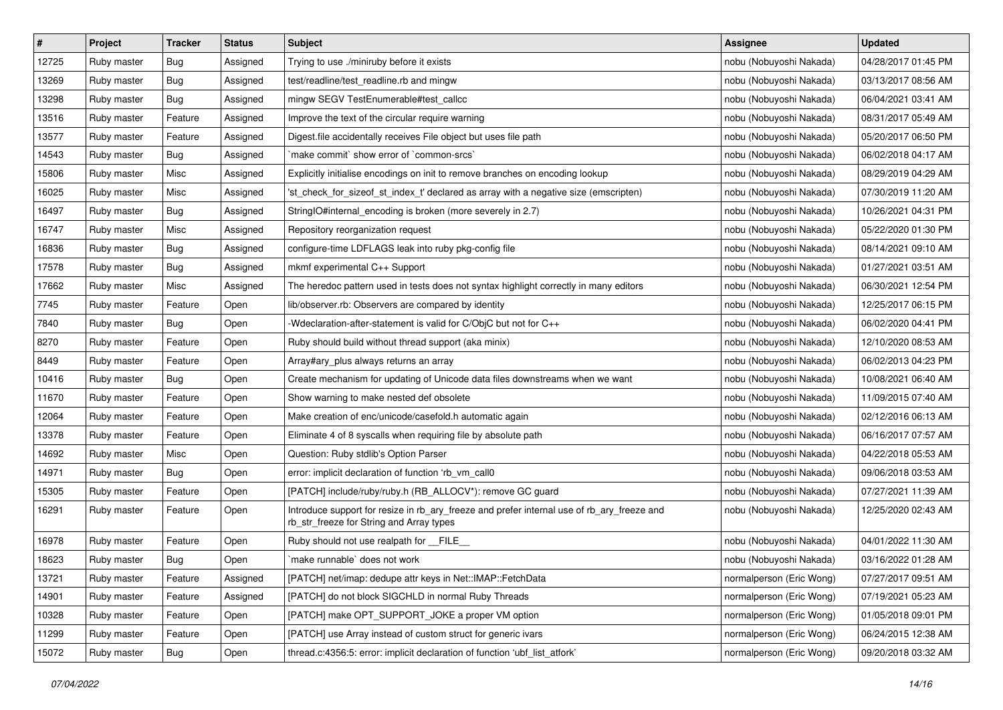| #     | Project     | <b>Tracker</b> | <b>Status</b> | Subject                                                                                                                                | Assignee                 | <b>Updated</b>      |
|-------|-------------|----------------|---------------|----------------------------------------------------------------------------------------------------------------------------------------|--------------------------|---------------------|
| 12725 | Ruby master | Bug            | Assigned      | Trying to use ./miniruby before it exists                                                                                              | nobu (Nobuyoshi Nakada)  | 04/28/2017 01:45 PM |
| 13269 | Ruby master | Bug            | Assigned      | test/readline/test readline.rb and mingw                                                                                               | nobu (Nobuyoshi Nakada)  | 03/13/2017 08:56 AM |
| 13298 | Ruby master | Bug            | Assigned      | mingw SEGV TestEnumerable#test_callcc                                                                                                  | nobu (Nobuyoshi Nakada)  | 06/04/2021 03:41 AM |
| 13516 | Ruby master | Feature        | Assigned      | Improve the text of the circular require warning                                                                                       | nobu (Nobuyoshi Nakada)  | 08/31/2017 05:49 AM |
| 13577 | Ruby master | Feature        | Assigned      | Digest.file accidentally receives File object but uses file path                                                                       | nobu (Nobuyoshi Nakada)  | 05/20/2017 06:50 PM |
| 14543 | Ruby master | <b>Bug</b>     | Assigned      | 'make commit' show error of 'common-srcs'                                                                                              | nobu (Nobuyoshi Nakada)  | 06/02/2018 04:17 AM |
| 15806 | Ruby master | Misc           | Assigned      | Explicitly initialise encodings on init to remove branches on encoding lookup                                                          | nobu (Nobuyoshi Nakada)  | 08/29/2019 04:29 AM |
| 16025 | Ruby master | Misc           | Assigned      | 'st_check_for_sizeof_st_index_t' declared as array with a negative size (emscripten)                                                   | nobu (Nobuyoshi Nakada)  | 07/30/2019 11:20 AM |
| 16497 | Ruby master | Bug            | Assigned      | StringIO#internal_encoding is broken (more severely in 2.7)                                                                            | nobu (Nobuyoshi Nakada)  | 10/26/2021 04:31 PM |
| 16747 | Ruby master | Misc           | Assigned      | Repository reorganization request                                                                                                      | nobu (Nobuyoshi Nakada)  | 05/22/2020 01:30 PM |
| 16836 | Ruby master | Bug            | Assigned      | configure-time LDFLAGS leak into ruby pkg-config file                                                                                  | nobu (Nobuyoshi Nakada)  | 08/14/2021 09:10 AM |
| 17578 | Ruby master | Bug            | Assigned      | mkmf experimental C++ Support                                                                                                          | nobu (Nobuyoshi Nakada)  | 01/27/2021 03:51 AM |
| 17662 | Ruby master | Misc           | Assigned      | The heredoc pattern used in tests does not syntax highlight correctly in many editors                                                  | nobu (Nobuyoshi Nakada)  | 06/30/2021 12:54 PM |
| 7745  | Ruby master | Feature        | Open          | lib/observer.rb: Observers are compared by identity                                                                                    | nobu (Nobuyoshi Nakada)  | 12/25/2017 06:15 PM |
| 7840  | Ruby master | Bug            | Open          | -Wdeclaration-after-statement is valid for C/ObjC but not for C++                                                                      | nobu (Nobuyoshi Nakada)  | 06/02/2020 04:41 PM |
| 8270  | Ruby master | Feature        | Open          | Ruby should build without thread support (aka minix)                                                                                   | nobu (Nobuyoshi Nakada)  | 12/10/2020 08:53 AM |
| 8449  | Ruby master | Feature        | Open          | Array#ary_plus always returns an array                                                                                                 | nobu (Nobuyoshi Nakada)  | 06/02/2013 04:23 PM |
| 10416 | Ruby master | Bug            | Open          | Create mechanism for updating of Unicode data files downstreams when we want                                                           | nobu (Nobuyoshi Nakada)  | 10/08/2021 06:40 AM |
| 11670 | Ruby master | Feature        | Open          | Show warning to make nested def obsolete                                                                                               | nobu (Nobuyoshi Nakada)  | 11/09/2015 07:40 AM |
| 12064 | Ruby master | Feature        | Open          | Make creation of enc/unicode/casefold.h automatic again                                                                                | nobu (Nobuyoshi Nakada)  | 02/12/2016 06:13 AM |
| 13378 | Ruby master | Feature        | Open          | Eliminate 4 of 8 syscalls when requiring file by absolute path                                                                         | nobu (Nobuyoshi Nakada)  | 06/16/2017 07:57 AM |
| 14692 | Ruby master | Misc           | Open          | Question: Ruby stdlib's Option Parser                                                                                                  | nobu (Nobuyoshi Nakada)  | 04/22/2018 05:53 AM |
| 14971 | Ruby master | Bug            | Open          | error: implicit declaration of function 'rb_vm_call0                                                                                   | nobu (Nobuyoshi Nakada)  | 09/06/2018 03:53 AM |
| 15305 | Ruby master | Feature        | Open          | [PATCH] include/ruby/ruby.h (RB_ALLOCV*): remove GC guard                                                                              | nobu (Nobuyoshi Nakada)  | 07/27/2021 11:39 AM |
| 16291 | Ruby master | Feature        | Open          | Introduce support for resize in rb_ary_freeze and prefer internal use of rb_ary_freeze and<br>rb_str_freeze for String and Array types | nobu (Nobuyoshi Nakada)  | 12/25/2020 02:43 AM |
| 16978 | Ruby master | Feature        | Open          | Ruby should not use realpath for FILE                                                                                                  | nobu (Nobuyoshi Nakada)  | 04/01/2022 11:30 AM |
| 18623 | Ruby master | Bug            | Open          | `make runnable` does not work                                                                                                          | nobu (Nobuyoshi Nakada)  | 03/16/2022 01:28 AM |
| 13721 | Ruby master | Feature        | Assigned      | [PATCH] net/imap: dedupe attr keys in Net::IMAP::FetchData                                                                             | normalperson (Eric Wong) | 07/27/2017 09:51 AM |
| 14901 | Ruby master | Feature        | Assigned      | [PATCH] do not block SIGCHLD in normal Ruby Threads                                                                                    | normalperson (Eric Wong) | 07/19/2021 05:23 AM |
| 10328 | Ruby master | Feature        | Open          | [PATCH] make OPT_SUPPORT_JOKE a proper VM option                                                                                       | normalperson (Eric Wong) | 01/05/2018 09:01 PM |
| 11299 | Ruby master | Feature        | Open          | [PATCH] use Array instead of custom struct for generic ivars                                                                           | normalperson (Eric Wong) | 06/24/2015 12:38 AM |
| 15072 | Ruby master | <b>Bug</b>     | Open          | thread.c:4356:5: error: implicit declaration of function 'ubf_list_atfork'                                                             | normalperson (Eric Wong) | 09/20/2018 03:32 AM |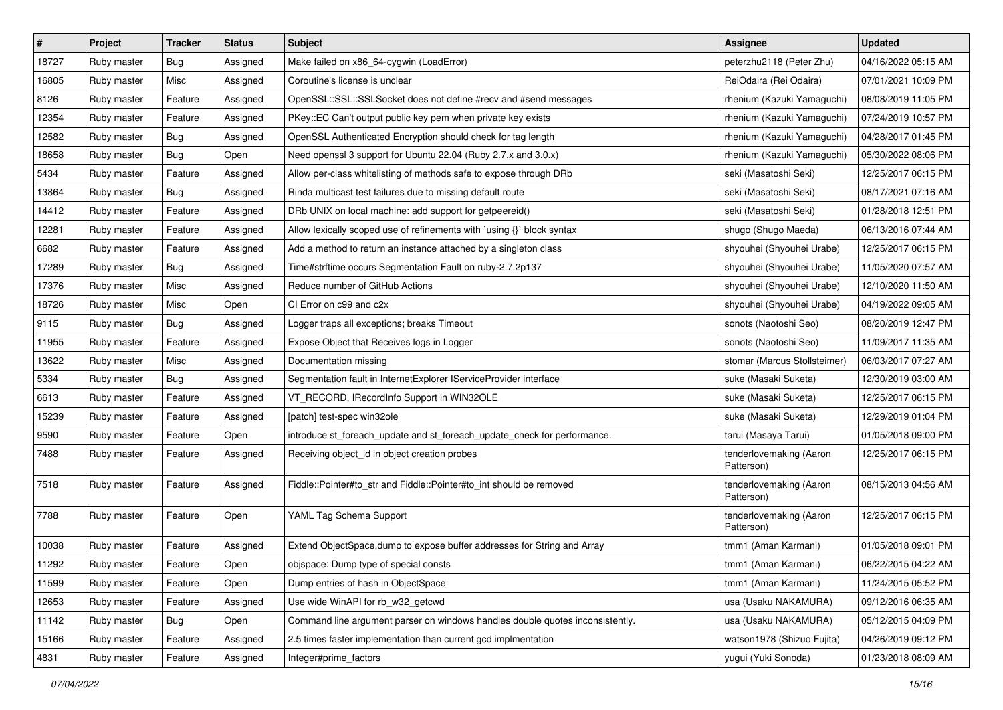| $\sharp$ | Project     | Tracker    | <b>Status</b> | <b>Subject</b>                                                                | <b>Assignee</b>                       | <b>Updated</b>      |
|----------|-------------|------------|---------------|-------------------------------------------------------------------------------|---------------------------------------|---------------------|
| 18727    | Ruby master | Bug        | Assigned      | Make failed on x86_64-cygwin (LoadError)                                      | peterzhu2118 (Peter Zhu)              | 04/16/2022 05:15 AM |
| 16805    | Ruby master | Misc       | Assigned      | Coroutine's license is unclear                                                | ReiOdaira (Rei Odaira)                | 07/01/2021 10:09 PM |
| 8126     | Ruby master | Feature    | Assigned      | OpenSSL::SSL::SSLSocket does not define #recv and #send messages              | rhenium (Kazuki Yamaguchi)            | 08/08/2019 11:05 PM |
| 12354    | Ruby master | Feature    | Assigned      | PKey::EC Can't output public key pem when private key exists                  | rhenium (Kazuki Yamaguchi)            | 07/24/2019 10:57 PM |
| 12582    | Ruby master | <b>Bug</b> | Assigned      | OpenSSL Authenticated Encryption should check for tag length                  | rhenium (Kazuki Yamaguchi)            | 04/28/2017 01:45 PM |
| 18658    | Ruby master | Bug        | Open          | Need openssl 3 support for Ubuntu 22.04 (Ruby 2.7.x and 3.0.x)                | rhenium (Kazuki Yamaguchi)            | 05/30/2022 08:06 PM |
| 5434     | Ruby master | Feature    | Assigned      | Allow per-class whitelisting of methods safe to expose through DRb            | seki (Masatoshi Seki)                 | 12/25/2017 06:15 PM |
| 13864    | Ruby master | Bug        | Assigned      | Rinda multicast test failures due to missing default route                    | seki (Masatoshi Seki)                 | 08/17/2021 07:16 AM |
| 14412    | Ruby master | Feature    | Assigned      | DRb UNIX on local machine: add support for getpeereid()                       | seki (Masatoshi Seki)                 | 01/28/2018 12:51 PM |
| 12281    | Ruby master | Feature    | Assigned      | Allow lexically scoped use of refinements with `using {}` block syntax        | shugo (Shugo Maeda)                   | 06/13/2016 07:44 AM |
| 6682     | Ruby master | Feature    | Assigned      | Add a method to return an instance attached by a singleton class              | shyouhei (Shyouhei Urabe)             | 12/25/2017 06:15 PM |
| 17289    | Ruby master | Bug        | Assigned      | Time#strftime occurs Segmentation Fault on ruby-2.7.2p137                     | shyouhei (Shyouhei Urabe)             | 11/05/2020 07:57 AM |
| 17376    | Ruby master | Misc       | Assigned      | Reduce number of GitHub Actions                                               | shyouhei (Shyouhei Urabe)             | 12/10/2020 11:50 AM |
| 18726    | Ruby master | Misc       | Open          | CI Error on c99 and c2x                                                       | shyouhei (Shyouhei Urabe)             | 04/19/2022 09:05 AM |
| 9115     | Ruby master | Bug        | Assigned      | Logger traps all exceptions; breaks Timeout                                   | sonots (Naotoshi Seo)                 | 08/20/2019 12:47 PM |
| 11955    | Ruby master | Feature    | Assigned      | Expose Object that Receives logs in Logger                                    | sonots (Naotoshi Seo)                 | 11/09/2017 11:35 AM |
| 13622    | Ruby master | Misc       | Assigned      | Documentation missing                                                         | stomar (Marcus Stollsteimer)          | 06/03/2017 07:27 AM |
| 5334     | Ruby master | Bug        | Assigned      | Segmentation fault in InternetExplorer IServiceProvider interface             | suke (Masaki Suketa)                  | 12/30/2019 03:00 AM |
| 6613     | Ruby master | Feature    | Assigned      | VT_RECORD, IRecordInfo Support in WIN32OLE                                    | suke (Masaki Suketa)                  | 12/25/2017 06:15 PM |
| 15239    | Ruby master | Feature    | Assigned      | [patch] test-spec win32ole                                                    | suke (Masaki Suketa)                  | 12/29/2019 01:04 PM |
| 9590     | Ruby master | Feature    | Open          | introduce st_foreach_update and st_foreach_update_check for performance.      | tarui (Masaya Tarui)                  | 01/05/2018 09:00 PM |
| 7488     | Ruby master | Feature    | Assigned      | Receiving object_id in object creation probes                                 | tenderlovemaking (Aaron<br>Patterson) | 12/25/2017 06:15 PM |
| 7518     | Ruby master | Feature    | Assigned      | Fiddle::Pointer#to_str and Fiddle::Pointer#to_int should be removed           | tenderlovemaking (Aaron<br>Patterson) | 08/15/2013 04:56 AM |
| 7788     | Ruby master | Feature    | Open          | YAML Tag Schema Support                                                       | tenderlovemaking (Aaron<br>Patterson) | 12/25/2017 06:15 PM |
| 10038    | Ruby master | Feature    | Assigned      | Extend ObjectSpace.dump to expose buffer addresses for String and Array       | tmm1 (Aman Karmani)                   | 01/05/2018 09:01 PM |
| 11292    | Ruby master | Feature    | Open          | objspace: Dump type of special consts                                         | tmm1 (Aman Karmani)                   | 06/22/2015 04:22 AM |
| 11599    | Ruby master | Feature    | Open          | Dump entries of hash in ObjectSpace                                           | tmm1 (Aman Karmani)                   | 11/24/2015 05:52 PM |
| 12653    | Ruby master | Feature    | Assigned      | Use wide WinAPI for rb_w32_getcwd                                             | usa (Usaku NAKAMURA)                  | 09/12/2016 06:35 AM |
| 11142    | Ruby master | Bug        | Open          | Command line argument parser on windows handles double quotes inconsistently. | usa (Usaku NAKAMURA)                  | 05/12/2015 04:09 PM |
| 15166    | Ruby master | Feature    | Assigned      | 2.5 times faster implementation than current gcd implmentation                | watson1978 (Shizuo Fujita)            | 04/26/2019 09:12 PM |
| 4831     | Ruby master | Feature    | Assigned      | Integer#prime_factors                                                         | yugui (Yuki Sonoda)                   | 01/23/2018 08:09 AM |